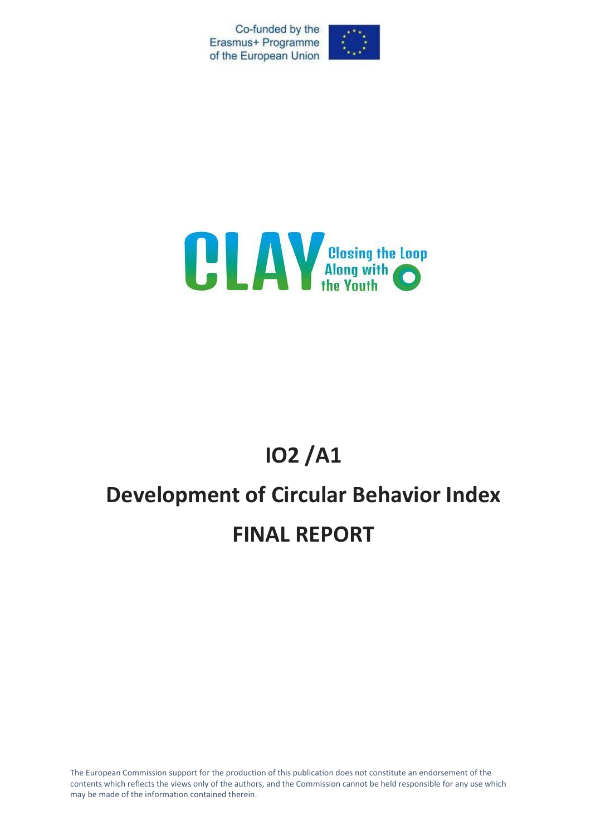Co-funded by the Erasmus+ Programme of the European Union





# **IO2 /A1**

# **Development of Circular Behavior Index FINAL REPORT**

The European Commission support for the production of this publication does not constitute an endorsement of the contents which reflects the views only of the authors, and the Commission cannot be held responsible for any use which may be made of the information contained therein.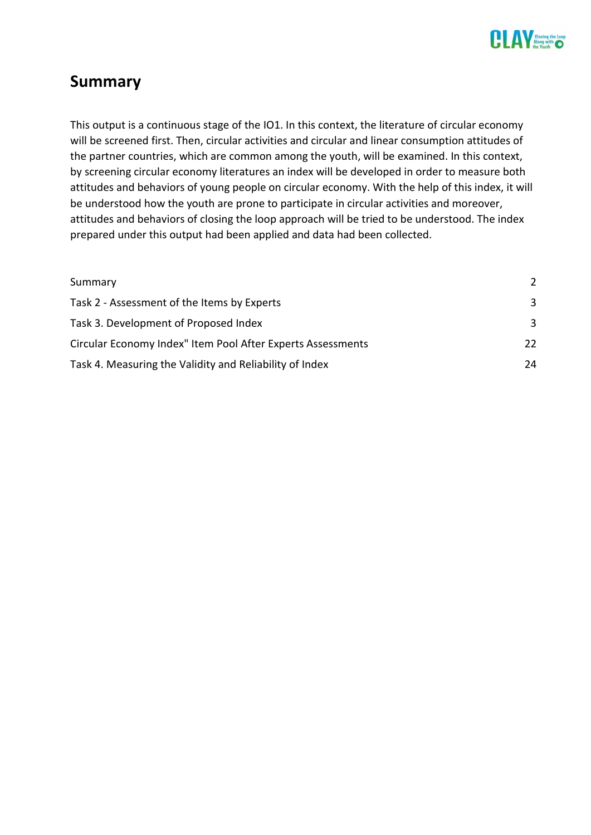

# <span id="page-1-0"></span>**Summary**

This output is a continuous stage of the IO1. In this context, the literature of circular economy will be screened first. Then, circular activities and circular and linear consumption attitudes of the partner countries, which are common among the youth, will be examined. In this context, by screening circular economy literatures an index will be developed in order to measure both attitudes and behaviors of young people on circular economy. With the help of this index, it will be understood how the youth are prone to participate in circular activities and moreover, attitudes and behaviors of closing the loop approach will be tried to be understood. The index prepared under this output had been applied and data had been collected.

| Summary                                                     | $\mathcal{P}$ |
|-------------------------------------------------------------|---------------|
| Task 2 - Assessment of the Items by Experts                 | 3             |
| Task 3. Development of Proposed Index                       | 3             |
| Circular Economy Index" Item Pool After Experts Assessments | 22            |
| Task 4. Measuring the Validity and Reliability of Index     | 24            |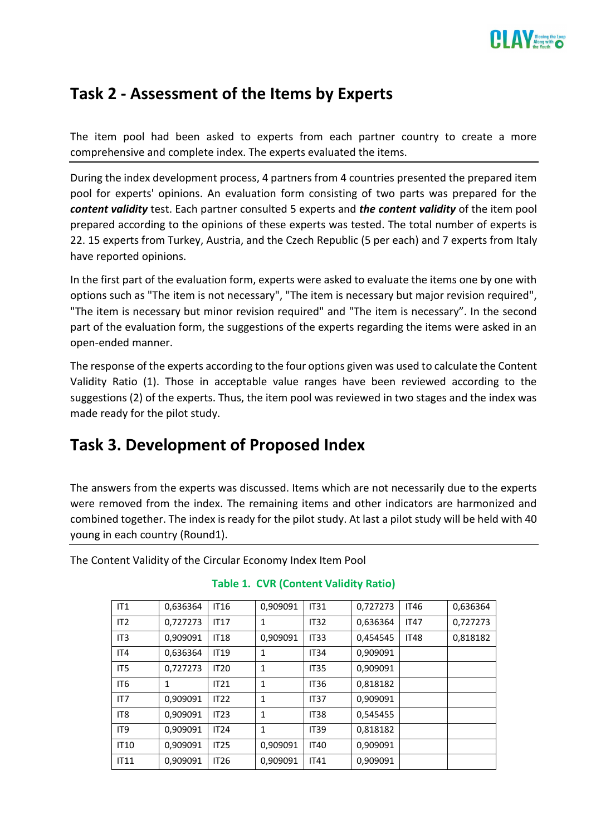

# <span id="page-2-0"></span>**Task 2 - Assessment of the Items by Experts**

The item pool had been asked to experts from each partner country to create a more comprehensive and complete index. The experts evaluated the items.

During the index development process, 4 partners from 4 countries presented the prepared item pool for experts' opinions. An evaluation form consisting of two parts was prepared for the *content validity* test. Each partner consulted 5 experts and *the content validity* of the item pool prepared according to the opinions of these experts was tested. The total number of experts is 22. 15 experts from Turkey, Austria, and the Czech Republic (5 per each) and 7 experts from Italy have reported opinions.

In the first part of the evaluation form, experts were asked to evaluate the items one by one with options such as "The item is not necessary", "The item is necessary but major revision required", "The item is necessary but minor revision required" and "The item is necessary". In the second part of the evaluation form, the suggestions of the experts regarding the items were asked in an open-ended manner.

The response of the experts according to the four options given was used to calculate the Content Validity Ratio (1). Those in acceptable value ranges have been reviewed according to the suggestions (2) of the experts. Thus, the item pool was reviewed in two stages and the index was made ready for the pilot study.

# <span id="page-2-1"></span>**Task 3. Development of Proposed Index**

The answers from the experts was discussed. Items which are not necessarily due to the experts were removed from the index. The remaining items and other indicators are harmonized and combined together. The index is ready for the pilot study. At last a pilot study will be held with 40 young in each country (Round1).

The Content Validity of the Circular Economy Index Item Pool

| IT1             | 0,636364 | <b>IT16</b> | 0,909091     | <b>IT31</b> | 0,727273 | <b>IT46</b> | 0,636364 |
|-----------------|----------|-------------|--------------|-------------|----------|-------------|----------|
| IT2             | 0,727273 | IT17        | 1            | <b>IT32</b> | 0,636364 | <b>IT47</b> | 0,727273 |
| IT <sub>3</sub> | 0.909091 | <b>IT18</b> | 0,909091     | <b>IT33</b> | 0,454545 | <b>IT48</b> | 0.818182 |
| IT4             | 0,636364 | <b>IT19</b> | 1            | <b>IT34</b> | 0,909091 |             |          |
| IT <sub>5</sub> | 0,727273 | <b>IT20</b> | 1            | <b>IT35</b> | 0,909091 |             |          |
| IT <sub>6</sub> | 1        | IT21        | 1            | <b>IT36</b> | 0,818182 |             |          |
| IT7             | 0,909091 | IT22        | $\mathbf{1}$ | <b>IT37</b> | 0,909091 |             |          |
| IT <sub>8</sub> | 0,909091 | IT23        | 1            | <b>IT38</b> | 0,545455 |             |          |
| IT <sub>9</sub> | 0,909091 | IT24        | 1            | <b>IT39</b> | 0,818182 |             |          |
| <b>IT10</b>     | 0,909091 | IT25        | 0,909091     | <b>IT40</b> | 0,909091 |             |          |
| IT11            | 0,909091 | <b>IT26</b> | 0,909091     | <b>IT41</b> | 0,909091 |             |          |

# **Table 1. CVR (Content Validity Ratio)**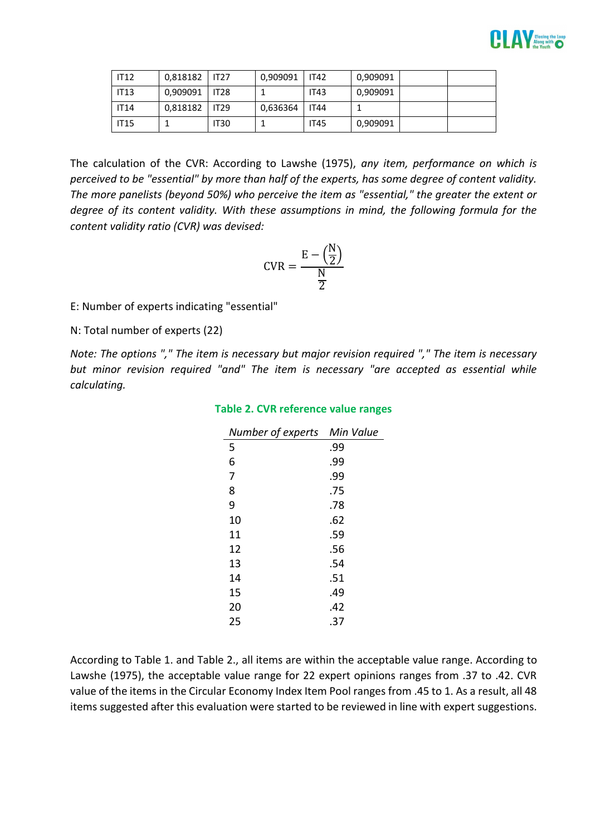

| IT12        | $0.818182$   IT27 |             | 0,909091 | <b>IT42</b> | 0,909091 |  |
|-------------|-------------------|-------------|----------|-------------|----------|--|
| <b>IT13</b> | $0.909091$   IT28 |             |          | <b>IT43</b> | 0,909091 |  |
| <b>IT14</b> | 0,818182          | IT29        | 0,636364 | <b>IT44</b> |          |  |
| <b>IT15</b> |                   | <b>IT30</b> |          | <b>IT45</b> | 0,909091 |  |

The calculation of the CVR: According to Lawshe (1975), *any item, performance on which is perceived to be "essential" by more than half of the experts, has some degree of content validity. The more panelists (beyond 50%) who perceive the item as "essential," the greater the extent or degree of its content validity. With these assumptions in mind, the following formula for the content validity ratio (CVR) was devised:*

$$
CVR = \frac{E - \left(\frac{N}{2}\right)}{\frac{N}{2}}
$$

E: Number of experts indicating "essential"

N: Total number of experts (22)

*Note: The options "," The item is necessary but major revision required "," The item is necessary but minor revision required "and" The item is necessary "are accepted as essential while calculating.*

| Number of experts | Min Value |
|-------------------|-----------|
| 5                 | .99       |
| 6                 | .99       |
| 7                 | .99       |
| 8                 | .75       |
| 9                 | .78       |
| 10                | .62       |
| 11                | .59       |
| 12                | .56       |
| 13                | .54       |
| 14                | .51       |
| 15                | .49       |
| 20                | .42       |
| 25                | .37       |

#### **Table 2. CVR reference value ranges**

According to Table 1. and Table 2., all items are within the acceptable value range. According to Lawshe (1975), the acceptable value range for 22 expert opinions ranges from .37 to .42. CVR value of the items in the Circular Economy Index Item Pool ranges from .45 to 1. As a result, all 48 items suggested after this evaluation were started to be reviewed in line with expert suggestions.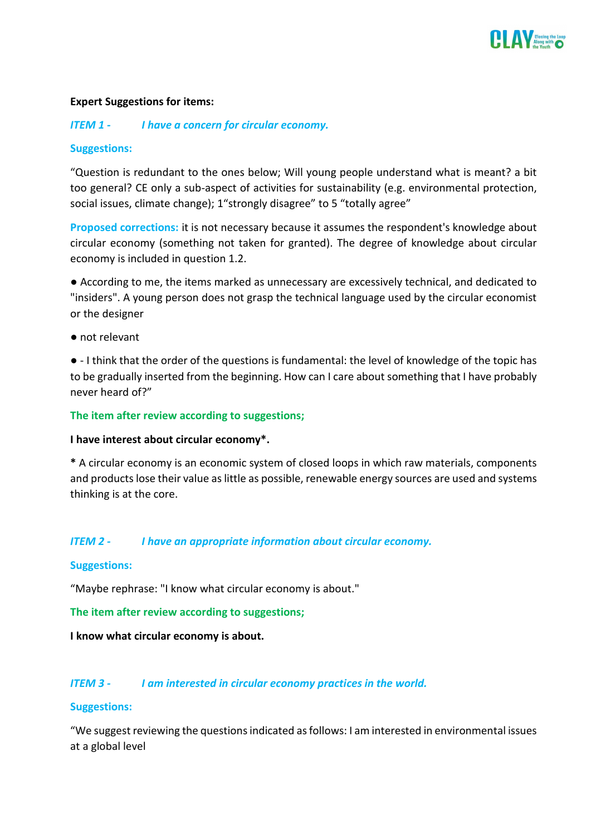

#### **Expert Suggestions for items:**

#### *ITEM 1 - I have a concern for circular economy.*

#### **Suggestions:**

"Question is redundant to the ones below; Will young people understand what is meant? a bit too general? CE only a sub-aspect of activities for sustainability (e.g. environmental protection, social issues, climate change); 1"strongly disagree" to 5 "totally agree"

**Proposed corrections:** it is not necessary because it assumes the respondent's knowledge about circular economy (something not taken for granted). The degree of knowledge about circular economy is included in question 1.2.

● According to me, the items marked as unnecessary are excessively technical, and dedicated to "insiders". A young person does not grasp the technical language used by the circular economist or the designer

● not relevant

● - I think that the order of the questions is fundamental: the level of knowledge of the topic has to be gradually inserted from the beginning. How can I care about something that I have probably never heard of?"

#### **The item after review according to suggestions;**

#### **I have interest about circular economy\*.**

**\*** A circular economy is an economic system of closed loops in which raw materials, components and products lose their value as little as possible, renewable energy sources are used and systems thinking is at the core.

#### *ITEM 2 - I have an appropriate information about circular economy.*

#### **Suggestions:**

"Maybe rephrase: "I know what circular economy is about."

**The item after review according to suggestions;**

**I know what circular economy is about.**

#### *ITEM 3 - I am interested in circular economy practices in the world.*

#### **Suggestions:**

"We suggest reviewing the questions indicated as follows: I am interested in environmental issues at a global level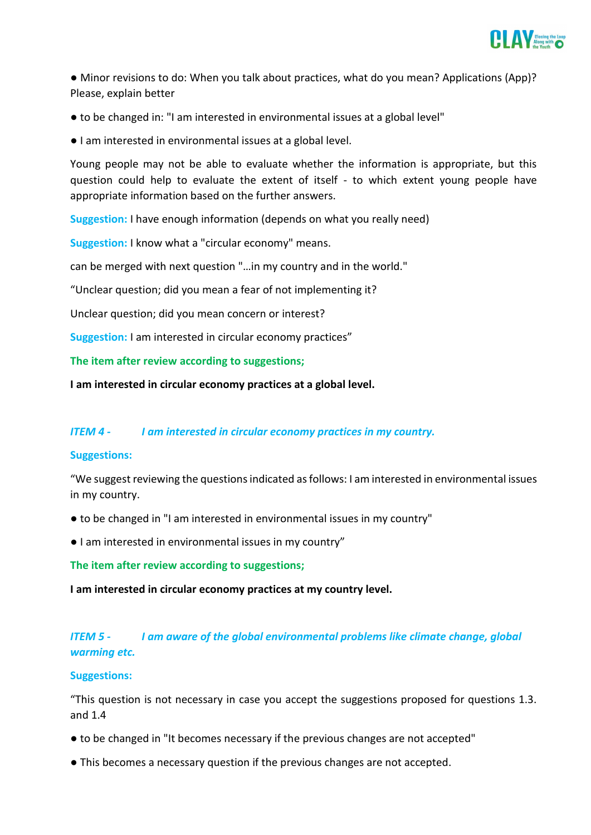

• Minor revisions to do: When you talk about practices, what do you mean? Applications (App)? Please, explain better

- to be changed in: "I am interested in environmental issues at a global level"
- I am interested in environmental issues at a global level.

Young people may not be able to evaluate whether the information is appropriate, but this question could help to evaluate the extent of itself - to which extent young people have appropriate information based on the further answers.

**Suggestion:** I have enough information (depends on what you really need)

**Suggestion:** I know what a "circular economy" means.

can be merged with next question "…in my country and in the world."

"Unclear question; did you mean a fear of not implementing it?

Unclear question; did you mean concern or interest?

**Suggestion:** I am interested in circular economy practices"

**The item after review according to suggestions;**

**I am interested in circular economy practices at a global level.**

#### *ITEM 4 - I am interested in circular economy practices in my country.*

#### **Suggestions:**

"We suggest reviewing the questions indicated as follows: I am interested in environmental issues in my country.

- to be changed in "I am interested in environmental issues in my country"
- I am interested in environmental issues in my country"

**The item after review according to suggestions;**

**I am interested in circular economy practices at my country level.**

# *ITEM 5 - I am aware of the global environmental problems like climate change, global warming etc.*

#### **Suggestions:**

"This question is not necessary in case you accept the suggestions proposed for questions 1.3. and 1.4

- to be changed in "It becomes necessary if the previous changes are not accepted"
- This becomes a necessary question if the previous changes are not accepted.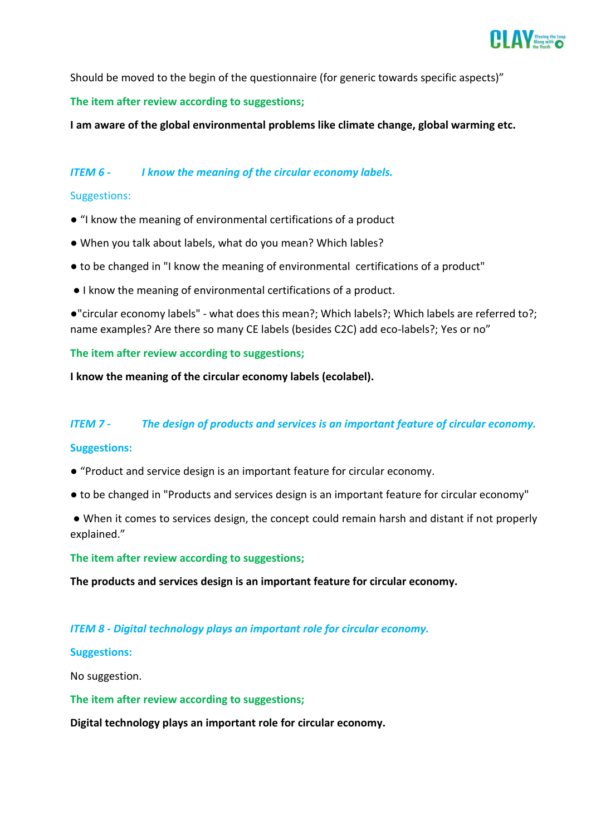

Should be moved to the begin of the questionnaire (for generic towards specific aspects)"

#### **The item after review according to suggestions;**

**I am aware of the global environmental problems like climate change, global warming etc.**

### *ITEM 6 - I know the meaning of the circular economy labels.*

#### Suggestions:

- "I know the meaning of environmental certifications of a product
- When you talk about labels, what do you mean? Which lables?
- to be changed in "I know the meaning of environmental certifications of a product"
- I know the meaning of environmental certifications of a product.

●"circular economy labels" - what does this mean?; Which labels?; Which labels are referred to?; name examples? Are there so many CE labels (besides C2C) add eco-labels?; Yes or no"

#### **The item after review according to suggestions;**

**I know the meaning of the circular economy labels (ecolabel).**

#### *ITEM 7 - The design of products and services is an important feature of circular economy.*

#### **Suggestions:**

- "Product and service design is an important feature for circular economy.
- to be changed in "Products and services design is an important feature for circular economy"
- When it comes to services design, the concept could remain harsh and distant if not properly explained."

**The item after review according to suggestions;**

**The products and services design is an important feature for circular economy.**

#### *ITEM 8 - Digital technology plays an important role for circular economy.*

#### **Suggestions:**

No suggestion.

**The item after review according to suggestions;**

**Digital technology plays an important role for circular economy.**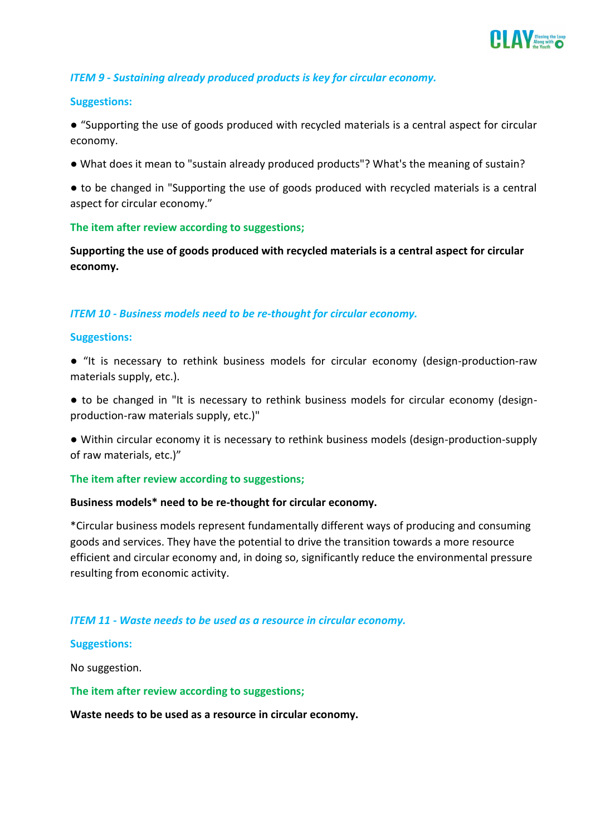

#### *ITEM 9 - Sustaining already produced products is key for circular economy.*

#### **Suggestions:**

● "Supporting the use of goods produced with recycled materials is a central aspect for circular economy.

● What does it mean to "sustain already produced products"? What's the meaning of sustain?

● to be changed in "Supporting the use of goods produced with recycled materials is a central aspect for circular economy."

#### **The item after review according to suggestions;**

**Supporting the use of goods produced with recycled materials is a central aspect for circular economy.**

#### *ITEM 10 - Business models need to be re-thought for circular economy.*

#### **Suggestions:**

● "It is necessary to rethink business models for circular economy (design-production-raw materials supply, etc.).

• to be changed in "It is necessary to rethink business models for circular economy (designproduction-raw materials supply, etc.)"

● Within circular economy it is necessary to rethink business models (design-production-supply of raw materials, etc.)"

#### **The item after review according to suggestions;**

#### **Business models\* need to be re-thought for circular economy.**

\*Circular business models represent fundamentally different ways of producing and consuming goods and services. They have the potential to drive the transition towards a more resource efficient and circular economy and, in doing so, significantly reduce the environmental pressure resulting from economic activity.

#### *ITEM 11 - Waste needs to be used as a resource in circular economy.*

#### **Suggestions:**

No suggestion.

**The item after review according to suggestions;**

**Waste needs to be used as a resource in circular economy.**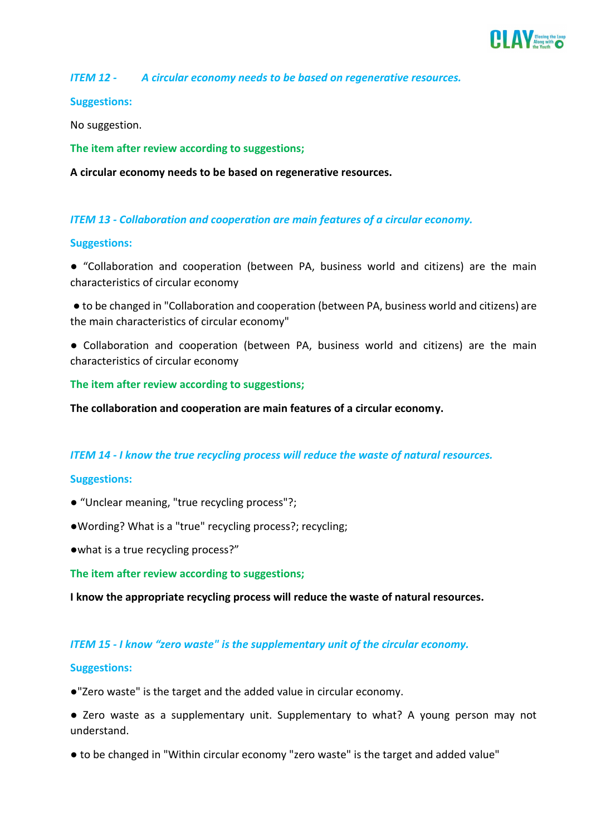

*ITEM 12 - A circular economy needs to be based on regenerative resources.*

#### **Suggestions:**

No suggestion.

**The item after review according to suggestions;**

**A circular economy needs to be based on regenerative resources.**

#### *ITEM 13 - Collaboration and cooperation are main features of a circular economy.*

#### **Suggestions:**

● "Collaboration and cooperation (between PA, business world and citizens) are the main characteristics of circular economy

● to be changed in "Collaboration and cooperation (between PA, business world and citizens) are the main characteristics of circular economy"

● Collaboration and cooperation (between PA, business world and citizens) are the main characteristics of circular economy

**The item after review according to suggestions;**

**The collaboration and cooperation are main features of a circular economy.**

#### *ITEM 14 - I know the true recycling process will reduce the waste of natural resources.*

#### **Suggestions:**

- "Unclear meaning, "true recycling process"?;
- ●Wording? What is a "true" recycling process?; recycling;
- ●what is a true recycling process?"

**The item after review according to suggestions;**

**I know the appropriate recycling process will reduce the waste of natural resources.**

#### *ITEM 15 - I know "zero waste" is the supplementary unit of the circular economy.*

#### **Suggestions:**

●"Zero waste" is the target and the added value in circular economy.

● Zero waste as a supplementary unit. Supplementary to what? A young person may not understand.

● to be changed in "Within circular economy "zero waste" is the target and added value"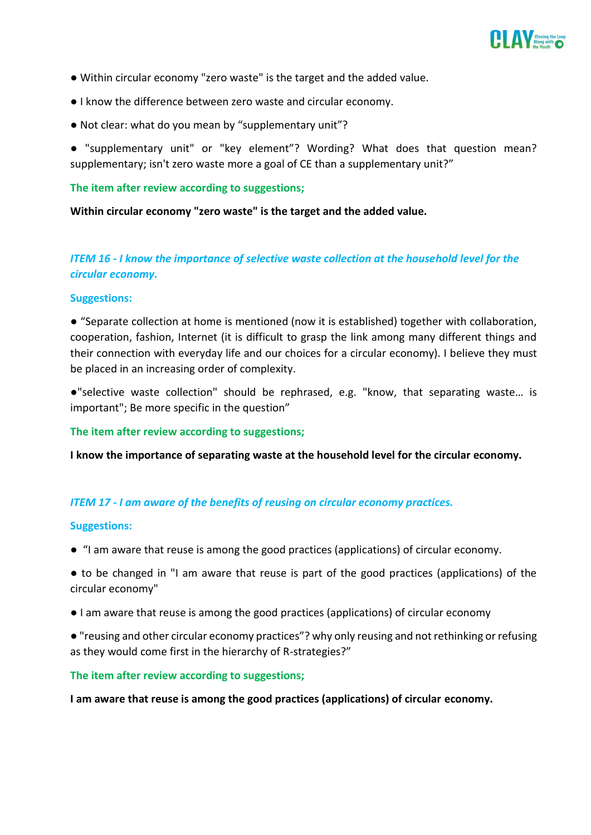

- Within circular economy "zero waste" is the target and the added value.
- I know the difference between zero waste and circular economy.
- Not clear: what do you mean by "supplementary unit"?
- "supplementary unit" or "key element"? Wording? What does that question mean? supplementary; isn't zero waste more a goal of CE than a supplementary unit?"

#### **The item after review according to suggestions;**

**Within circular economy "zero waste" is the target and the added value.**

# *ITEM 16 - I know the importance of selective waste collection at the household level for the circular economy.*

#### **Suggestions:**

● "Separate collection at home is mentioned (now it is established) together with collaboration, cooperation, fashion, Internet (it is difficult to grasp the link among many different things and their connection with everyday life and our choices for a circular economy). I believe they must be placed in an increasing order of complexity.

●"selective waste collection" should be rephrased, e.g. "know, that separating waste… is important"; Be more specific in the question"

#### **The item after review according to suggestions;**

**I know the importance of separating waste at the household level for the circular economy.**

# *ITEM 17 - I am aware of the benefits of reusing on circular economy practices.*

#### **Suggestions:**

- "I am aware that reuse is among the good practices (applications) of circular economy.
- to be changed in "I am aware that reuse is part of the good practices (applications) of the circular economy"
- I am aware that reuse is among the good practices (applications) of circular economy
- "reusing and other circular economy practices"? why only reusing and not rethinking or refusing as they would come first in the hierarchy of R-strategies?"

#### **The item after review according to suggestions;**

**I am aware that reuse is among the good practices (applications) of circular economy.**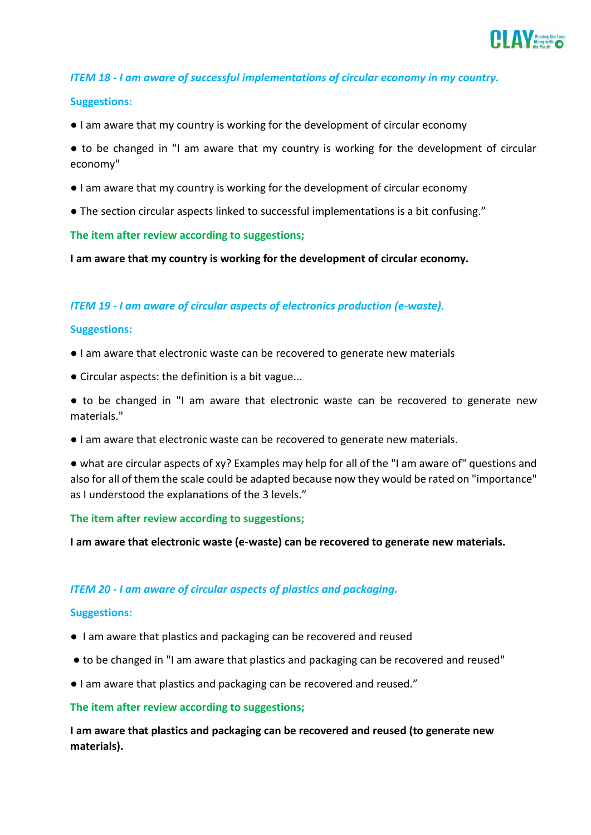

#### *ITEM 18 - I am aware of successful implementations of circular economy in my country.*

#### **Suggestions:**

● I am aware that my country is working for the development of circular economy

• to be changed in "I am aware that my country is working for the development of circular economy"

- I am aware that my country is working for the development of circular economy
- The section circular aspects linked to successful implementations is a bit confusing."

#### **The item after review according to suggestions;**

**I am aware that my country is working for the development of circular economy.**

#### *ITEM 19 - I am aware of circular aspects of electronics production (e-waste).*

#### **Suggestions:**

- I am aware that electronic waste can be recovered to generate new materials
- Circular aspects: the definition is a bit vague...

● to be changed in "I am aware that electronic waste can be recovered to generate new materials."

● I am aware that electronic waste can be recovered to generate new materials.

● what are circular aspects of xy? Examples may help for all of the "I am aware of" questions and also for all of them the scale could be adapted because now they would be rated on "importance" as I understood the explanations of the 3 levels."

#### **The item after review according to suggestions;**

**I am aware that electronic waste (e-waste) can be recovered to generate new materials.**

#### *ITEM 20 - I am aware of circular aspects of plastics and packaging.*

#### **Suggestions:**

- I am aware that plastics and packaging can be recovered and reused
- to be changed in "I am aware that plastics and packaging can be recovered and reused"
- I am aware that plastics and packaging can be recovered and reused."

#### **The item after review according to suggestions;**

**I am aware that plastics and packaging can be recovered and reused (to generate new materials).**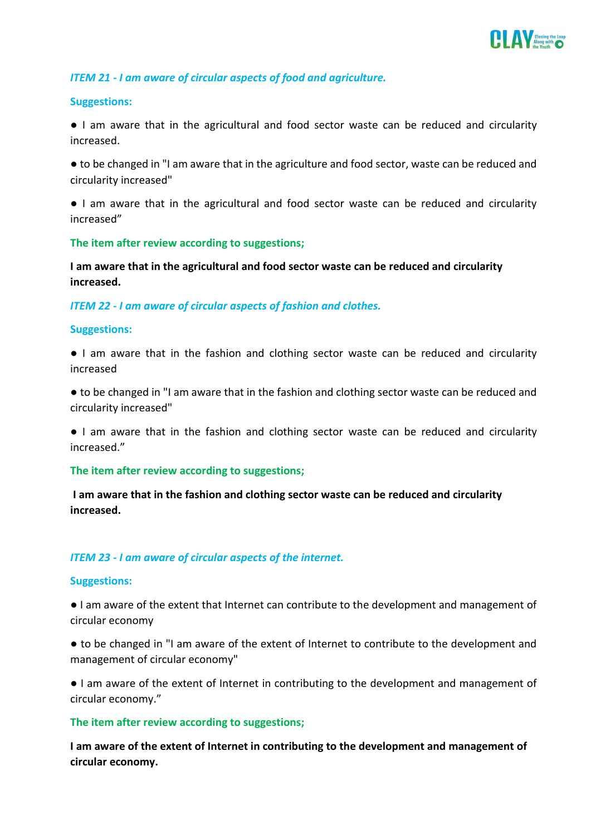

#### *ITEM 21 - I am aware of circular aspects of food and agriculture.*

#### **Suggestions:**

● I am aware that in the agricultural and food sector waste can be reduced and circularity increased.

● to be changed in "I am aware that in the agriculture and food sector, waste can be reduced and circularity increased"

● I am aware that in the agricultural and food sector waste can be reduced and circularity increased"

**The item after review according to suggestions;**

**I am aware that in the agricultural and food sector waste can be reduced and circularity increased.**

*ITEM 22 - I am aware of circular aspects of fashion and clothes.*

#### **Suggestions:**

- I am aware that in the fashion and clothing sector waste can be reduced and circularity increased
- to be changed in "I am aware that in the fashion and clothing sector waste can be reduced and circularity increased"

● I am aware that in the fashion and clothing sector waste can be reduced and circularity increased."

#### **The item after review according to suggestions;**

**I am aware that in the fashion and clothing sector waste can be reduced and circularity increased.**

#### *ITEM 23 - I am aware of circular aspects of the internet.*

#### **Suggestions:**

● I am aware of the extent that Internet can contribute to the development and management of circular economy

● to be changed in "I am aware of the extent of Internet to contribute to the development and management of circular economy"

● I am aware of the extent of Internet in contributing to the development and management of circular economy."

#### **The item after review according to suggestions;**

**I am aware of the extent of Internet in contributing to the development and management of circular economy.**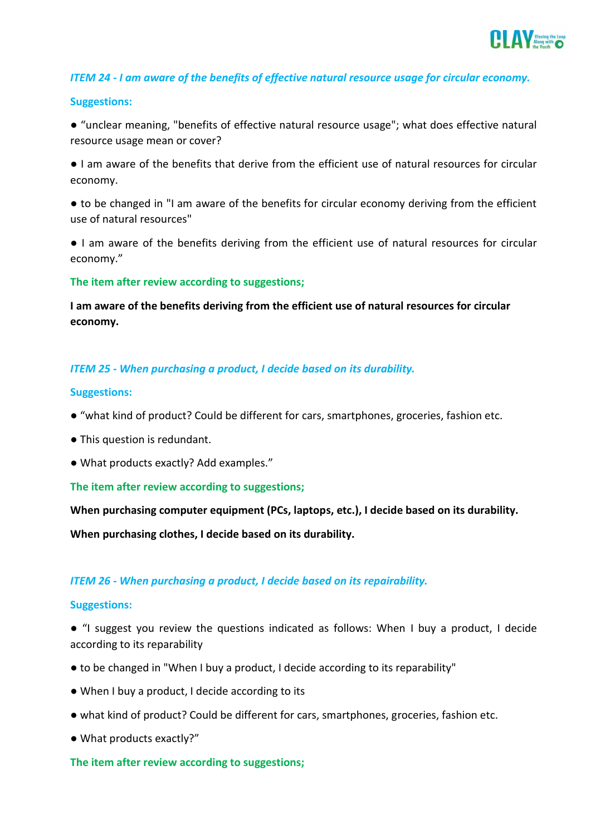

#### *ITEM 24 - I am aware of the benefits of effective natural resource usage for circular economy.*

#### **Suggestions:**

● "unclear meaning, "benefits of effective natural resource usage"; what does effective natural resource usage mean or cover?

● I am aware of the benefits that derive from the efficient use of natural resources for circular economy.

● to be changed in "I am aware of the benefits for circular economy deriving from the efficient use of natural resources"

● I am aware of the benefits deriving from the efficient use of natural resources for circular economy."

**The item after review according to suggestions;**

**I am aware of the benefits deriving from the efficient use of natural resources for circular economy.**

#### *ITEM 25 - When purchasing a product, I decide based on its durability.*

#### **Suggestions:**

- "what kind of product? Could be different for cars, smartphones, groceries, fashion etc.
- This question is redundant.
- What products exactly? Add examples."

#### **The item after review according to suggestions;**

**When purchasing computer equipment (PCs, laptops, etc.), I decide based on its durability.**

**When purchasing clothes, I decide based on its durability.**

#### *ITEM 26 - When purchasing a product, I decide based on its repairability.*

#### **Suggestions:**

● "I suggest you review the questions indicated as follows: When I buy a product, I decide according to its reparability

- to be changed in "When I buy a product, I decide according to its reparability"
- When I buy a product, I decide according to its
- what kind of product? Could be different for cars, smartphones, groceries, fashion etc.
- What products exactly?"

#### **The item after review according to suggestions;**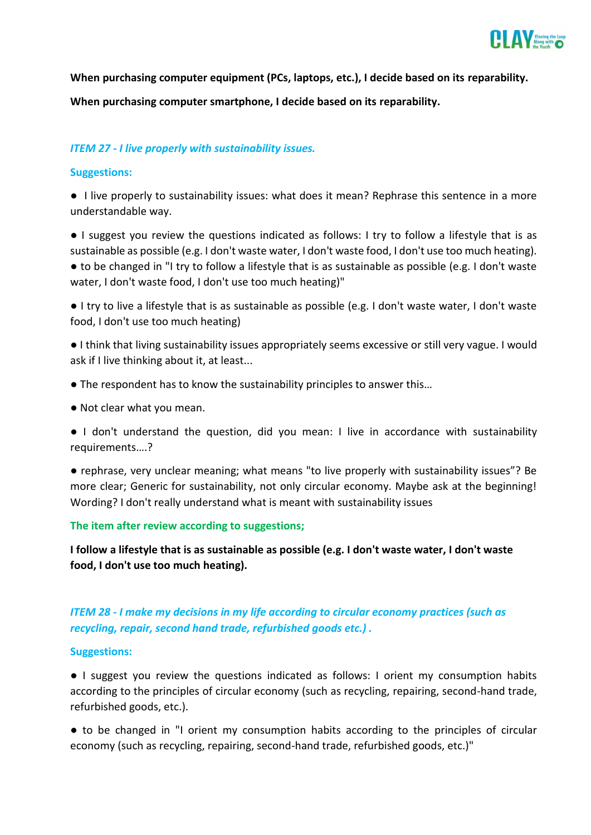

**When purchasing computer equipment (PCs, laptops, etc.), I decide based on its reparability. When purchasing computer smartphone, I decide based on its reparability.**

# *ITEM 27 - I live properly with sustainability issues.*

#### **Suggestions:**

● I live properly to sustainability issues: what does it mean? Rephrase this sentence in a more understandable way.

● I suggest you review the questions indicated as follows: I try to follow a lifestyle that is as sustainable as possible (e.g. I don't waste water, I don't waste food, I don't use too much heating).

● to be changed in "I try to follow a lifestyle that is as sustainable as possible (e.g. I don't waste water, I don't waste food, I don't use too much heating)"

● I try to live a lifestyle that is as sustainable as possible (e.g. I don't waste water, I don't waste food, I don't use too much heating)

● I think that living sustainability issues appropriately seems excessive or still very vague. I would ask if I live thinking about it, at least...

- The respondent has to know the sustainability principles to answer this...
- Not clear what you mean.
- I don't understand the question, did you mean: I live in accordance with sustainability requirements….?

● rephrase, very unclear meaning; what means "to live properly with sustainability issues"? Be more clear; Generic for sustainability, not only circular economy. Maybe ask at the beginning! Wording? I don't really understand what is meant with sustainability issues

#### **The item after review according to suggestions;**

**I follow a lifestyle that is as sustainable as possible (e.g. I don't waste water, I don't waste food, I don't use too much heating).**

# *ITEM 28 - I make my decisions in my life according to circular economy practices (such as recycling, repair, second hand trade, refurbished goods etc.) .*

#### **Suggestions:**

● I suggest you review the questions indicated as follows: I orient my consumption habits according to the principles of circular economy (such as recycling, repairing, second-hand trade, refurbished goods, etc.).

● to be changed in "I orient my consumption habits according to the principles of circular economy (such as recycling, repairing, second-hand trade, refurbished goods, etc.)"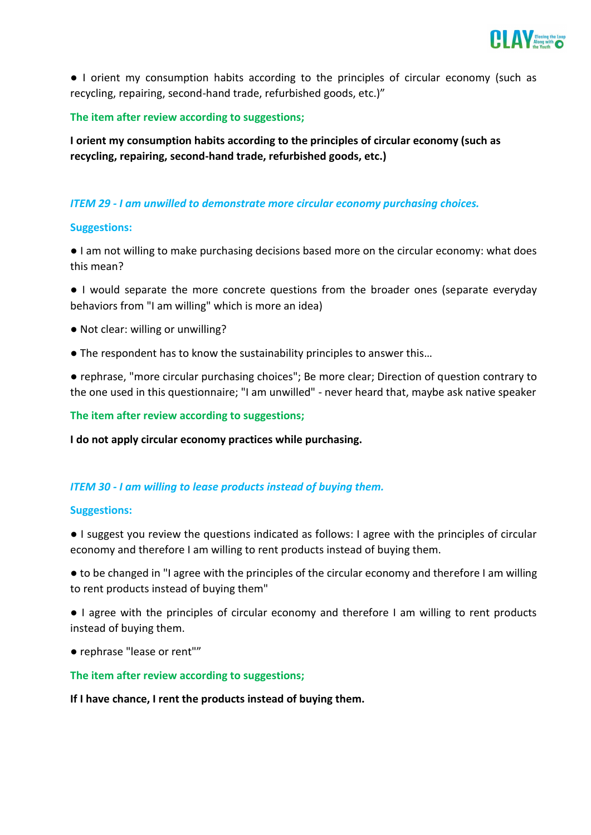

● I orient my consumption habits according to the principles of circular economy (such as recycling, repairing, second-hand trade, refurbished goods, etc.)"

### **The item after review according to suggestions;**

**I orient my consumption habits according to the principles of circular economy (such as recycling, repairing, second-hand trade, refurbished goods, etc.)**

# *ITEM 29 - I am unwilled to demonstrate more circular economy purchasing choices.*

#### **Suggestions:**

● I am not willing to make purchasing decisions based more on the circular economy: what does this mean?

● I would separate the more concrete questions from the broader ones (separate everyday behaviors from "I am willing" which is more an idea)

- Not clear: willing or unwilling?
- The respondent has to know the sustainability principles to answer this…

● rephrase, "more circular purchasing choices"; Be more clear; Direction of question contrary to the one used in this questionnaire; "I am unwilled" - never heard that, maybe ask native speaker

**The item after review according to suggestions;**

**I do not apply circular economy practices while purchasing.**

#### *ITEM 30 - I am willing to lease products instead of buying them.*

#### **Suggestions:**

● I suggest you review the questions indicated as follows: I agree with the principles of circular economy and therefore I am willing to rent products instead of buying them.

● to be changed in "I agree with the principles of the circular economy and therefore I am willing to rent products instead of buying them"

● I agree with the principles of circular economy and therefore I am willing to rent products instead of buying them.

● rephrase "lease or rent""

#### **The item after review according to suggestions;**

**If I have chance, I rent the products instead of buying them.**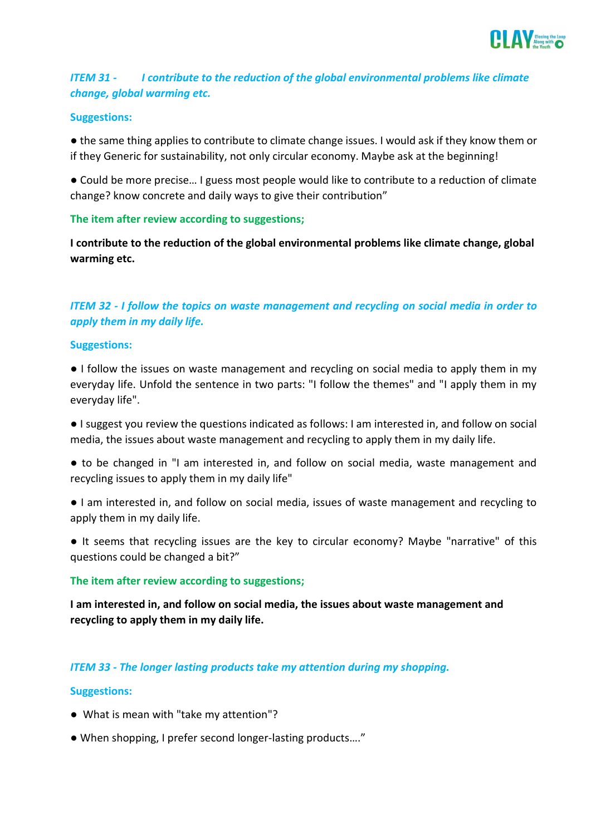

# *ITEM 31 - I contribute to the reduction of the global environmental problems like climate change, global warming etc.*

#### **Suggestions:**

● the same thing applies to contribute to climate change issues. I would ask if they know them or if they Generic for sustainability, not only circular economy. Maybe ask at the beginning!

● Could be more precise… I guess most people would like to contribute to a reduction of climate change? know concrete and daily ways to give their contribution"

#### **The item after review according to suggestions;**

**I contribute to the reduction of the global environmental problems like climate change, global warming etc.**

# *ITEM 32 - I follow the topics on waste management and recycling on social media in order to apply them in my daily life.*

#### **Suggestions:**

● I follow the issues on waste management and recycling on social media to apply them in my everyday life. Unfold the sentence in two parts: "I follow the themes" and "I apply them in my everyday life".

● I suggest you review the questions indicated as follows: I am interested in, and follow on social media, the issues about waste management and recycling to apply them in my daily life.

- to be changed in "I am interested in, and follow on social media, waste management and recycling issues to apply them in my daily life"
- I am interested in, and follow on social media, issues of waste management and recycling to apply them in my daily life.
- It seems that recycling issues are the key to circular economy? Maybe "narrative" of this questions could be changed a bit?"

#### **The item after review according to suggestions;**

**I am interested in, and follow on social media, the issues about waste management and recycling to apply them in my daily life.**

#### *ITEM 33 - The longer lasting products take my attention during my shopping.*

#### **Suggestions:**

- What is mean with "take my attention"?
- When shopping, I prefer second longer-lasting products…."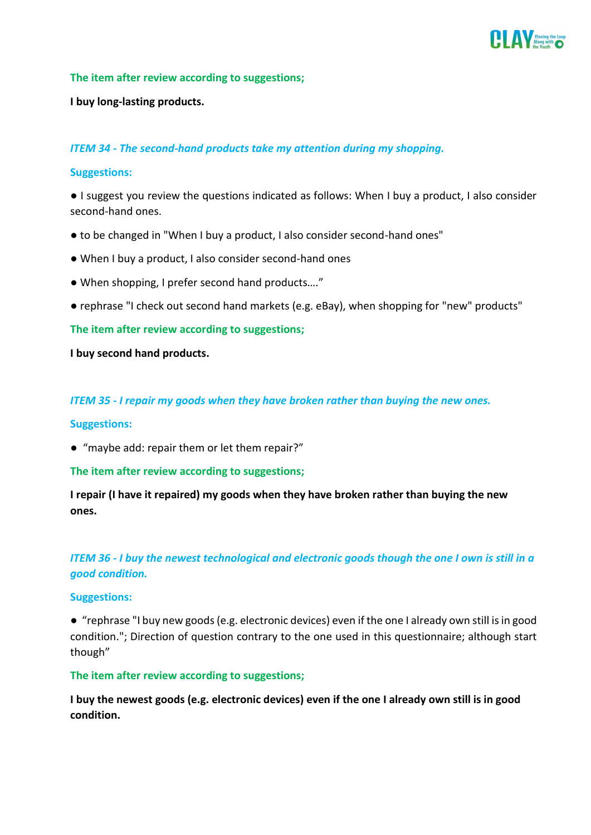

#### **The item after review according to suggestions;**

#### **I buy long-lasting products.**

#### *ITEM 34 - The second-hand products take my attention during my shopping.*

#### **Suggestions:**

● I suggest you review the questions indicated as follows: When I buy a product, I also consider second-hand ones.

- to be changed in "When I buy a product, I also consider second-hand ones"
- When I buy a product, I also consider second-hand ones
- When shopping, I prefer second hand products…."
- rephrase "I check out second hand markets (e.g. eBay), when shopping for "new" products"

#### **The item after review according to suggestions;**

#### **I buy second hand products.**

#### *ITEM 35 - I repair my goods when they have broken rather than buying the new ones.*

#### **Suggestions:**

● "maybe add: repair them or let them repair?"

#### **The item after review according to suggestions;**

**I repair (I have it repaired) my goods when they have broken rather than buying the new ones.**

# *ITEM 36 - I buy the newest technological and electronic goods though the one I own is still in a good condition.*

#### **Suggestions:**

● "rephrase "I buy new goods (e.g. electronic devices) even if the one I already own still is in good condition."; Direction of question contrary to the one used in this questionnaire; although start though"

#### **The item after review according to suggestions;**

**I buy the newest goods (e.g. electronic devices) even if the one I already own still is in good condition.**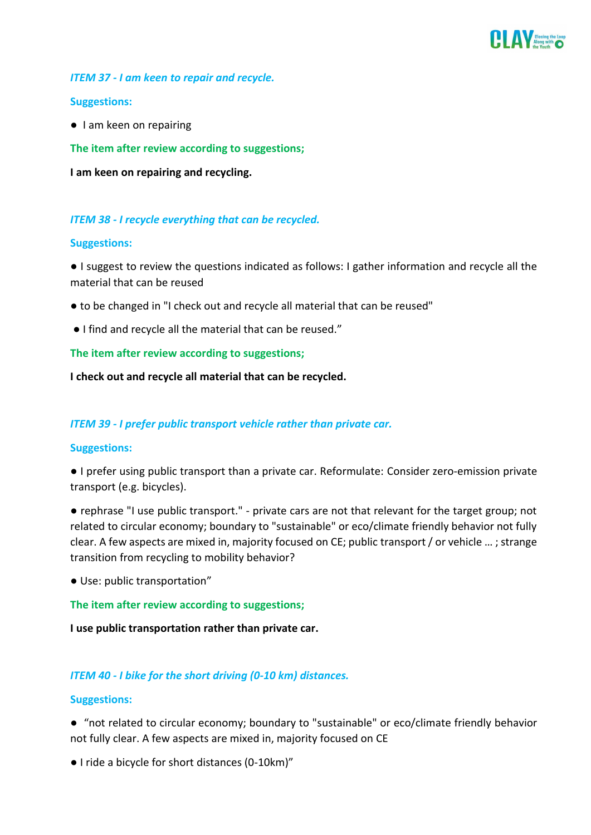

### *ITEM 37 - I am keen to repair and recycle.*

#### **Suggestions:**

● I am keen on repairing

**The item after review according to suggestions;**

**I am keen on repairing and recycling.** 

## *ITEM 38 - I recycle everything that can be recycled.*

#### **Suggestions:**

● I suggest to review the questions indicated as follows: I gather information and recycle all the material that can be reused

- to be changed in "I check out and recycle all material that can be reused"
- I find and recycle all the material that can be reused."

#### **The item after review according to suggestions;**

**I check out and recycle all material that can be recycled.**

# *ITEM 39 - I prefer public transport vehicle rather than private car.*

#### **Suggestions:**

● I prefer using public transport than a private car. Reformulate: Consider zero-emission private transport (e.g. bicycles).

● rephrase "I use public transport." - private cars are not that relevant for the target group; not related to circular economy; boundary to "sustainable" or eco/climate friendly behavior not fully clear. A few aspects are mixed in, majority focused on CE; public transport / or vehicle … ; strange transition from recycling to mobility behavior?

● Use: public transportation"

#### **The item after review according to suggestions;**

**I use public transportation rather than private car.**

# *ITEM 40 - I bike for the short driving (0-10 km) distances.*

#### **Suggestions:**

● "not related to circular economy; boundary to "sustainable" or eco/climate friendly behavior not fully clear. A few aspects are mixed in, majority focused on CE

● I ride a bicycle for short distances (0-10km)"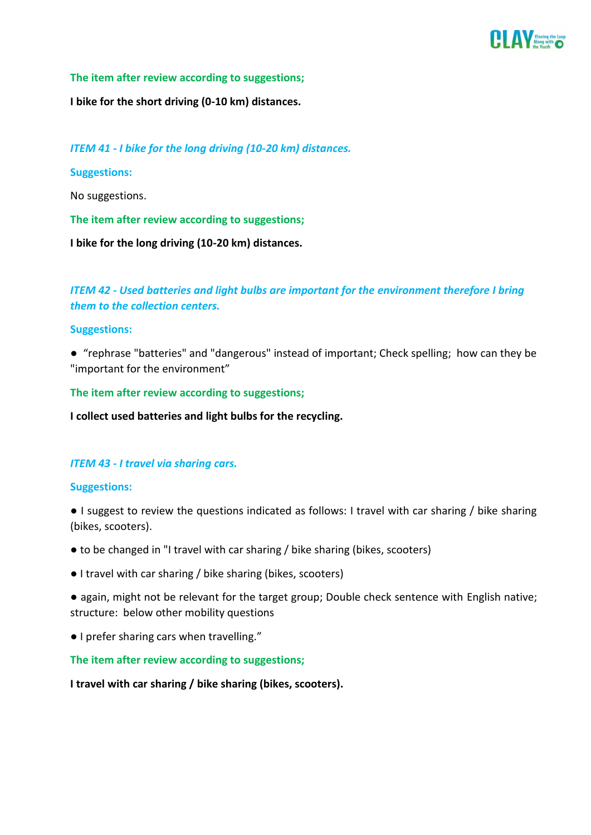

#### **The item after review according to suggestions;**

**I bike for the short driving (0-10 km) distances.**

*ITEM 41 - I bike for the long driving (10-20 km) distances.*

**Suggestions:**

No suggestions.

**The item after review according to suggestions;**

**I bike for the long driving (10-20 km) distances.**

*ITEM 42 - Used batteries and light bulbs are important for the environment therefore I bring them to the collection centers.* 

#### **Suggestions:**

● "rephrase "batteries" and "dangerous" instead of important; Check spelling; how can they be "important for the environment"

**The item after review according to suggestions;**

**I collect used batteries and light bulbs for the recycling.**

#### *ITEM 43 - I travel via sharing cars.*

#### **Suggestions:**

- I suggest to review the questions indicated as follows: I travel with car sharing / bike sharing (bikes, scooters).
- to be changed in "I travel with car sharing / bike sharing (bikes, scooters)
- I travel with car sharing / bike sharing (bikes, scooters)

● again, might not be relevant for the target group; Double check sentence with English native; structure: below other mobility questions

● I prefer sharing cars when travelling."

**The item after review according to suggestions;**

**I travel with car sharing / bike sharing (bikes, scooters).**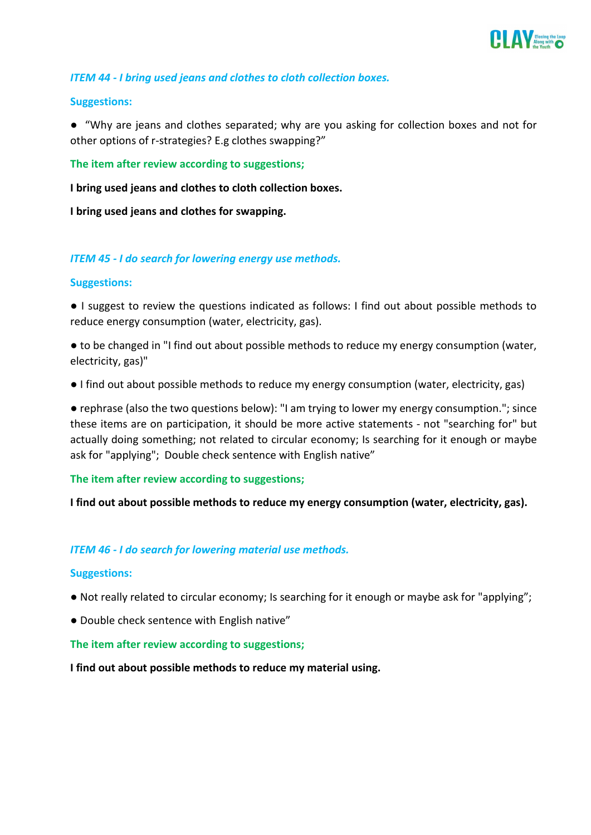

## *ITEM 44 - I bring used jeans and clothes to cloth collection boxes.*

#### **Suggestions:**

● "Why are jeans and clothes separated; why are you asking for collection boxes and not for other options of r-strategies? E.g clothes swapping?"

**The item after review according to suggestions;**

**I bring used jeans and clothes to cloth collection boxes.**

**I bring used jeans and clothes for swapping.**

#### *ITEM 45 - I do search for lowering energy use methods.*

#### **Suggestions:**

● I suggest to review the questions indicated as follows: I find out about possible methods to reduce energy consumption (water, electricity, gas).

● to be changed in "I find out about possible methods to reduce my energy consumption (water, electricity, gas)"

● I find out about possible methods to reduce my energy consumption (water, electricity, gas)

● rephrase (also the two questions below): "I am trying to lower my energy consumption."; since these items are on participation, it should be more active statements - not "searching for" but actually doing something; not related to circular economy; Is searching for it enough or maybe ask for "applying"; Double check sentence with English native"

#### **The item after review according to suggestions;**

**I find out about possible methods to reduce my energy consumption (water, electricity, gas).**

#### *ITEM 46 - I do search for lowering material use methods.*

#### **Suggestions:**

- Not really related to circular economy; Is searching for it enough or maybe ask for "applying";
- Double check sentence with English native"

#### **The item after review according to suggestions;**

**I find out about possible methods to reduce my material using.**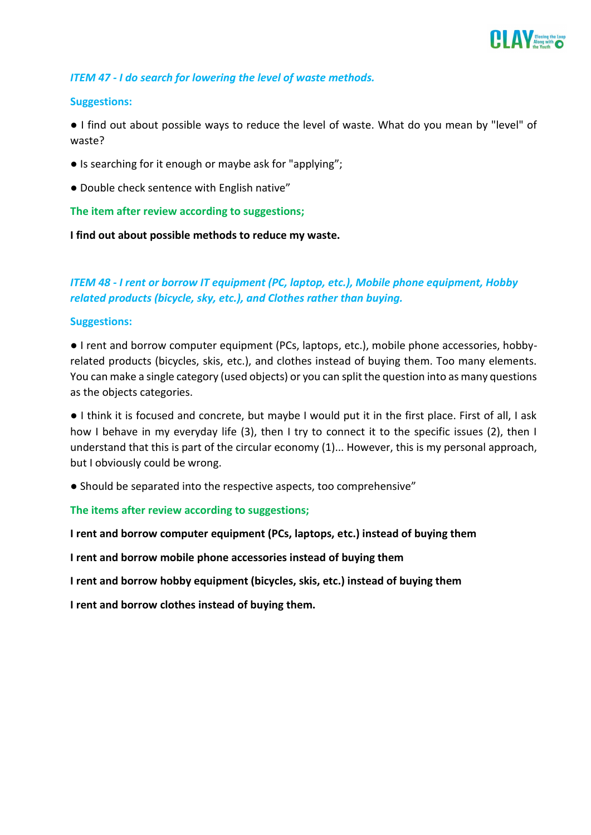

## *ITEM 47 - I do search for lowering the level of waste methods.*

#### **Suggestions:**

● I find out about possible ways to reduce the level of waste. What do you mean by "level" of waste?

- Is searching for it enough or maybe ask for "applying";
- Double check sentence with English native"

**The item after review according to suggestions;**

**I find out about possible methods to reduce my waste.** 

# *ITEM 48 - I rent or borrow IT equipment (PC, laptop, etc.), Mobile phone equipment, Hobby related products (bicycle, sky, etc.), and Clothes rather than buying.*

#### **Suggestions:**

● I rent and borrow computer equipment (PCs, laptops, etc.), mobile phone accessories, hobbyrelated products (bicycles, skis, etc.), and clothes instead of buying them. Too many elements. You can make a single category (used objects) or you can split the question into as many questions as the objects categories.

● I think it is focused and concrete, but maybe I would put it in the first place. First of all, I ask how I behave in my everyday life (3), then I try to connect it to the specific issues (2), then I understand that this is part of the circular economy (1)... However, this is my personal approach, but I obviously could be wrong.

● Should be separated into the respective aspects, too comprehensive"

**The items after review according to suggestions;**

**I rent and borrow computer equipment (PCs, laptops, etc.) instead of buying them**

**I rent and borrow mobile phone accessories instead of buying them**

**I rent and borrow hobby equipment (bicycles, skis, etc.) instead of buying them**

**I rent and borrow clothes instead of buying them.**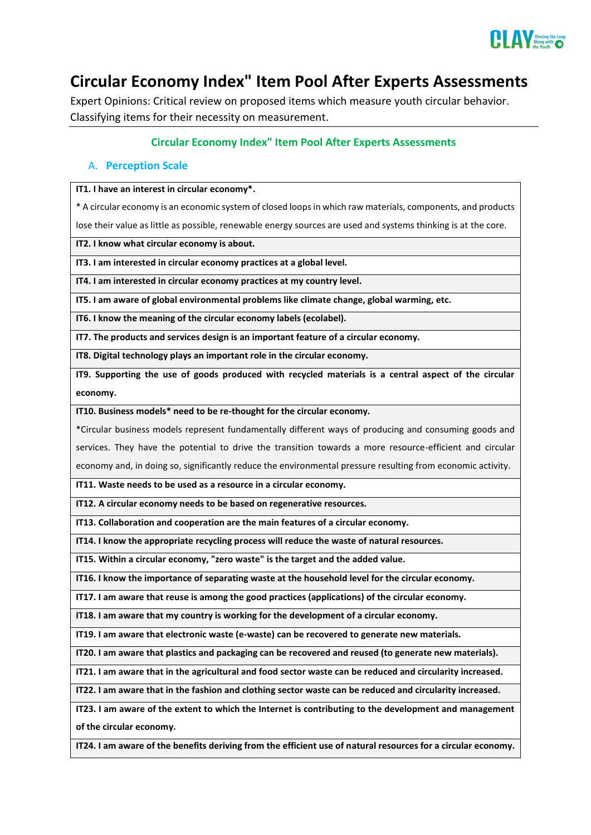

# <span id="page-21-0"></span>**Circular Economy Index" Item Pool After Experts Assessments**

Expert Opinions: Critical review on proposed items which measure youth circular behavior. Classifying items for their necessity on measurement.

#### **Circular Economy Index" Item Pool After Experts Assessments**

#### A. **Perception Scale**

**IT1. I have an interest in circular economy\*.**

\* A circular economy is an economic system of closed loops in which raw materials, components, and products

lose their value as little as possible, renewable energy sources are used and systems thinking is at the core.

**IT2. I know what circular economy is about.**

**IT3. I am interested in circular economy practices at a global level.**

**IT4. I am interested in circular economy practices at my country level.**

**IT5. I am aware of global environmental problems like climate change, global warming, etc.**

**IT6. I know the meaning of the circular economy labels (ecolabel).**

**IT7. The products and services design is an important feature of a circular economy.**

**IT8. Digital technology plays an important role in the circular economy.**

**IT9. Supporting the use of goods produced with recycled materials is a central aspect of the circular economy.**

**IT10. Business models\* need to be re-thought for the circular economy.**

\*Circular business models represent fundamentally different ways of producing and consuming goods and services. They have the potential to drive the transition towards a more resource-efficient and circular economy and, in doing so, significantly reduce the environmental pressure resulting from economic activity.

**IT11. Waste needs to be used as a resource in a circular economy.**

**IT12. A circular economy needs to be based on regenerative resources.**

**IT13. Collaboration and cooperation are the main features of a circular economy.**

**IT14. I know the appropriate recycling process will reduce the waste of natural resources.**

**IT15. Within a circular economy, "zero waste" is the target and the added value.**

**IT16. I know the importance of separating waste at the household level for the circular economy.**

**IT17. I am aware that reuse is among the good practices (applications) of the circular economy.**

**IT18. I am aware that my country is working for the development of a circular economy.**

**IT19. I am aware that electronic waste (e-waste) can be recovered to generate new materials.**

**IT20. I am aware that plastics and packaging can be recovered and reused (to generate new materials).**

**IT21. I am aware that in the agricultural and food sector waste can be reduced and circularity increased.**

**IT22. I am aware that in the fashion and clothing sector waste can be reduced and circularity increased.**

**IT23. I am aware of the extent to which the Internet is contributing to the development and management of the circular economy.**

**IT24. I am aware of the benefits deriving from the efficient use of natural resources for a circular economy.**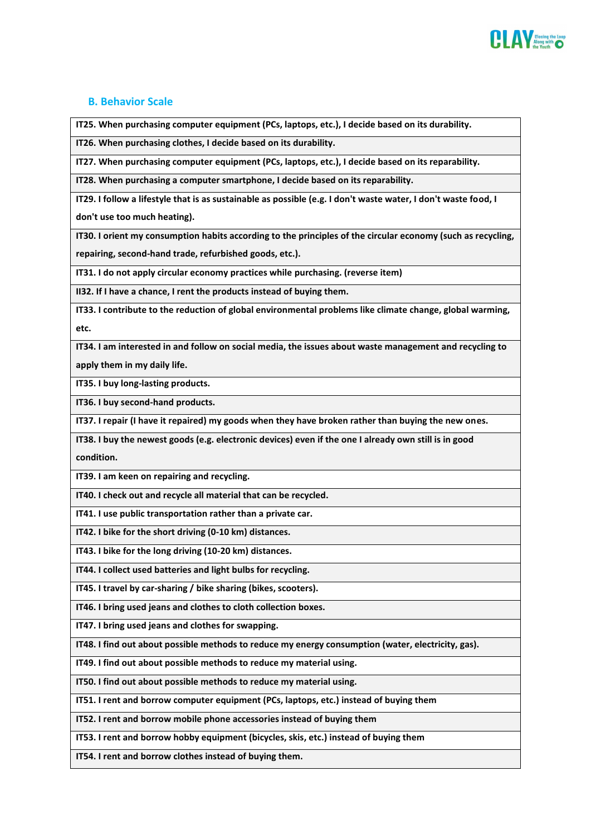

#### **B. Behavior Scale**

**IT25. When purchasing computer equipment (PCs, laptops, etc.), I decide based on its durability.**

**IT26. When purchasing clothes, I decide based on its durability.**

**IT27. When purchasing computer equipment (PCs, laptops, etc.), I decide based on its reparability.**

**IT28. When purchasing a computer smartphone, I decide based on its reparability.**

**IT29. I follow a lifestyle that is as sustainable as possible (e.g. I don't waste water, I don't waste food, I don't use too much heating).**

**IT30. I orient my consumption habits according to the principles of the circular economy (such as recycling, repairing, second-hand trade, refurbished goods, etc.).**

**IT31. I do not apply circular economy practices while purchasing. (reverse item)**

**II32. If I have a chance, I rent the products instead of buying them.**

**IT33. I contribute to the reduction of global environmental problems like climate change, global warming, etc.**

**IT34. I am interested in and follow on social media, the issues about waste management and recycling to apply them in my daily life.**

**IT35. I buy long-lasting products.**

**IT36. I buy second-hand products.**

**IT37. I repair (I have it repaired) my goods when they have broken rather than buying the new ones.**

**IT38. I buy the newest goods (e.g. electronic devices) even if the one I already own still is in good** 

**condition.**

**IT39. I am keen on repairing and recycling.**

**IT40. I check out and recycle all material that can be recycled.**

**IT41. I use public transportation rather than a private car.**

**IT42. I bike for the short driving (0-10 km) distances.**

**IT43. I bike for the long driving (10-20 km) distances.**

**IT44. I collect used batteries and light bulbs for recycling.**

**IT45. I travel by car-sharing / bike sharing (bikes, scooters).**

**IT46. I bring used jeans and clothes to cloth collection boxes.**

**IT47. I bring used jeans and clothes for swapping.**

**IT48. I find out about possible methods to reduce my energy consumption (water, electricity, gas).**

**IT49. I find out about possible methods to reduce my material using.**

**IT50. I find out about possible methods to reduce my material using.**

**IT51. I rent and borrow computer equipment (PCs, laptops, etc.) instead of buying them**

**IT52. I rent and borrow mobile phone accessories instead of buying them**

**IT53. I rent and borrow hobby equipment (bicycles, skis, etc.) instead of buying them**

**IT54. I rent and borrow clothes instead of buying them.**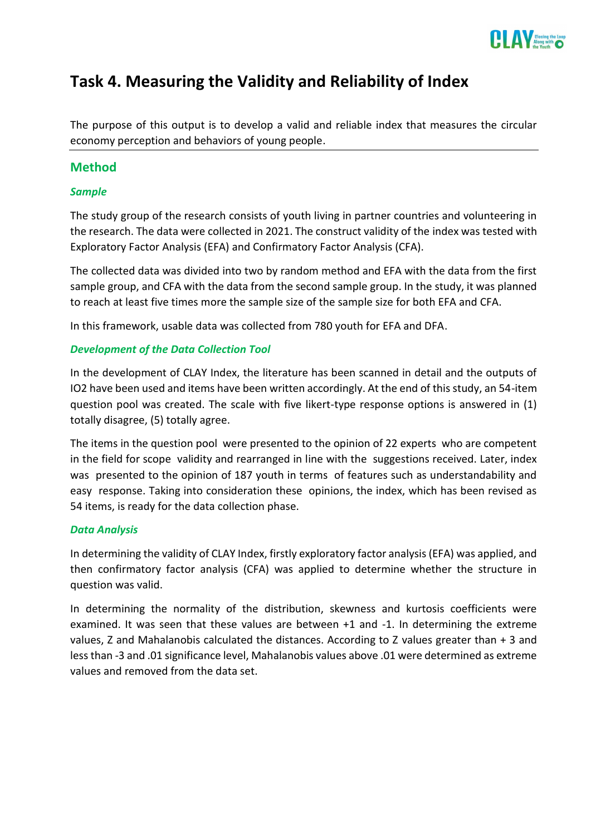

# <span id="page-23-0"></span>**Task 4. Measuring the Validity and Reliability of Index**

The purpose of this output is to develop a valid and reliable index that measures the circular economy perception and behaviors of young people.

# **Method**

## *Sample*

The study group of the research consists of youth living in partner countries and volunteering in the research. The data were collected in 2021. The construct validity of the index was tested with Exploratory Factor Analysis (EFA) and Confirmatory Factor Analysis (CFA).

The collected data was divided into two by random method and EFA with the data from the first sample group, and CFA with the data from the second sample group. In the study, it was planned to reach at least five times more the sample size of the sample size for both EFA and CFA.

In this framework, usable data was collected from 780 youth for EFA and DFA.

## *Development of the Data Collection Tool*

In the development of CLAY Index, the literature has been scanned in detail and the outputs of IO2 have been used and items have been written accordingly. At the end of this study, an 54-item question pool was created. The scale with five likert-type response options is answered in (1) totally disagree, (5) totally agree.

The items in the question pool were presented to the opinion of 22 experts who are competent in the field for scope validity and rearranged in line with the suggestions received. Later, index was presented to the opinion of 187 youth in terms of features such as understandability and easy response. Taking into consideration these opinions, the index, which has been revised as 54 items, is ready for the data collection phase.

#### *Data Analysis*

In determining the validity of CLAY Index, firstly exploratory factor analysis (EFA) was applied, and then confirmatory factor analysis (CFA) was applied to determine whether the structure in question was valid.

In determining the normality of the distribution, skewness and kurtosis coefficients were examined. It was seen that these values are between +1 and -1. In determining the extreme values, Z and Mahalanobis calculated the distances. According to Z values greater than + 3 and less than -3 and .01 significance level, Mahalanobis values above .01 were determined as extreme values and removed from the data set.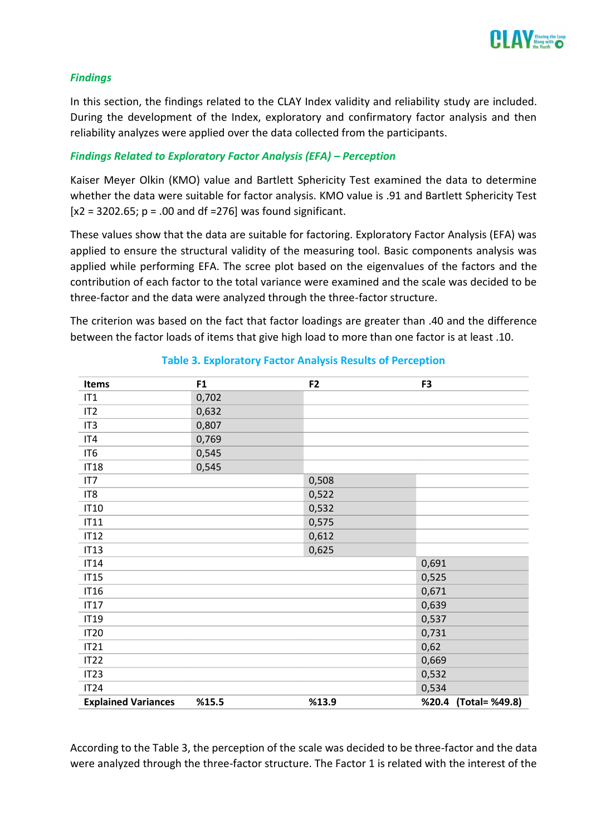

#### *Findings*

In this section, the findings related to the CLAY Index validity and reliability study are included. During the development of the Index, exploratory and confirmatory factor analysis and then reliability analyzes were applied over the data collected from the participants.

#### *Findings Related to Exploratory Factor Analysis (EFA) – Perception*

Kaiser Meyer Olkin (KMO) value and Bartlett Sphericity Test examined the data to determine whether the data were suitable for factor analysis. KMO value is .91 and Bartlett Sphericity Test  $[x2 = 3202.65; p = .00$  and df =276] was found significant.

These values show that the data are suitable for factoring. Exploratory Factor Analysis (EFA) was applied to ensure the structural validity of the measuring tool. Basic components analysis was applied while performing EFA. The scree plot based on the eigenvalues of the factors and the contribution of each factor to the total variance were examined and the scale was decided to be three-factor and the data were analyzed through the three-factor structure.

The criterion was based on the fact that factor loadings are greater than .40 and the difference between the factor loads of items that give high load to more than one factor is at least .10.

| <b>Items</b>               | F <sub>1</sub> | F <sub>2</sub> | F <sub>3</sub>          |
|----------------------------|----------------|----------------|-------------------------|
| IT1                        | 0,702          |                |                         |
| IT <sub>2</sub>            | 0,632          |                |                         |
| IT <sub>3</sub>            | 0,807          |                |                         |
| IT4                        | 0,769          |                |                         |
| IT <sub>6</sub>            | 0,545          |                |                         |
| <b>IT18</b>                | 0,545          |                |                         |
| IT7                        |                | 0,508          |                         |
| IT <sub>8</sub>            |                | 0,522          |                         |
| <b>IT10</b>                |                | 0,532          |                         |
| IT11                       |                | 0,575          |                         |
| <b>IT12</b>                |                | 0,612          |                         |
| <b>IT13</b>                |                | 0,625          |                         |
| <b>IT14</b>                |                |                | 0,691                   |
| IT15                       |                |                | 0,525                   |
| <b>IT16</b>                |                |                | 0,671                   |
| <b>IT17</b>                |                |                | 0,639                   |
| <b>IT19</b>                |                |                | 0,537                   |
| <b>IT20</b>                |                |                | 0,731                   |
| IT21                       |                |                | 0,62                    |
| <b>IT22</b>                |                |                | 0,669                   |
| IT <sub>23</sub>           |                |                | 0,532                   |
| IT24                       |                |                | 0,534                   |
| <b>Explained Variances</b> | %15.5          | %13.9          | (Total= %49.8)<br>%20.4 |

**Table 3. Exploratory Factor Analysis Results of Perception**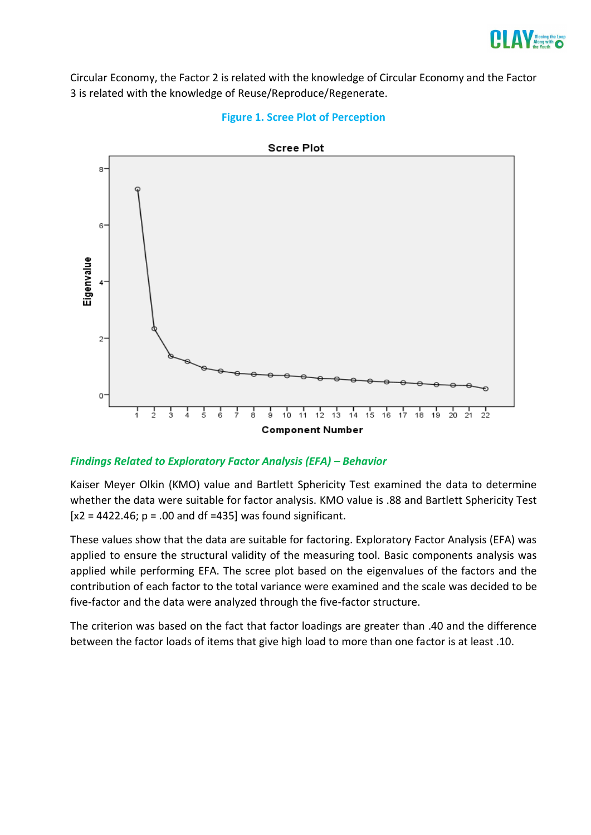

Circular Economy, the Factor 2 is related with the knowledge of Circular Economy and the Factor 3 is related with the knowledge of Reuse/Reproduce/Regenerate.





# *Findings Related to Exploratory Factor Analysis (EFA) – Behavior*

Kaiser Meyer Olkin (KMO) value and Bartlett Sphericity Test examined the data to determine whether the data were suitable for factor analysis. KMO value is .88 and Bartlett Sphericity Test  $[x2 = 4422.46; p = .00$  and df =435] was found significant.

These values show that the data are suitable for factoring. Exploratory Factor Analysis (EFA) was applied to ensure the structural validity of the measuring tool. Basic components analysis was applied while performing EFA. The scree plot based on the eigenvalues of the factors and the contribution of each factor to the total variance were examined and the scale was decided to be five-factor and the data were analyzed through the five-factor structure.

The criterion was based on the fact that factor loadings are greater than .40 and the difference between the factor loads of items that give high load to more than one factor is at least .10.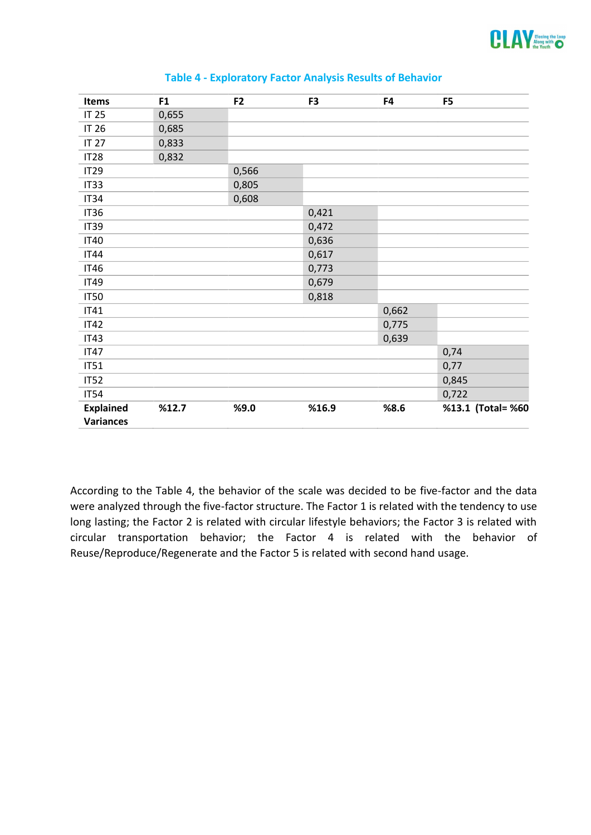

| <b>Items</b>     | F <sub>1</sub> | F <sub>2</sub> | F <sub>3</sub> | F4    | F <sub>5</sub>    |
|------------------|----------------|----------------|----------------|-------|-------------------|
| <b>IT 25</b>     | 0,655          |                |                |       |                   |
| <b>IT 26</b>     | 0,685          |                |                |       |                   |
| <b>IT 27</b>     | 0,833          |                |                |       |                   |
| <b>IT28</b>      | 0,832          |                |                |       |                   |
| <b>IT29</b>      |                | 0,566          |                |       |                   |
| IT33             |                | 0,805          |                |       |                   |
| IT34             |                | 0,608          |                |       |                   |
| <b>IT36</b>      |                |                | 0,421          |       |                   |
| <b>IT39</b>      |                |                | 0,472          |       |                   |
| <b>IT40</b>      |                |                | 0,636          |       |                   |
| <b>IT44</b>      |                |                | 0,617          |       |                   |
| <b>IT46</b>      |                |                | 0,773          |       |                   |
| <b>IT49</b>      |                |                | 0,679          |       |                   |
| <b>IT50</b>      |                |                | 0,818          |       |                   |
| <b>IT41</b>      |                |                |                | 0,662 |                   |
| <b>IT42</b>      |                |                |                | 0,775 |                   |
| <b>IT43</b>      |                |                |                | 0,639 |                   |
| <b>IT47</b>      |                |                |                |       | 0,74              |
| IT51             |                |                |                |       | 0,77              |
| <b>IT52</b>      |                |                |                |       | 0,845             |
| <b>IT54</b>      |                |                |                |       | 0,722             |
| <b>Explained</b> | %12.7          | %9.0           | %16.9          | %8.6  | %13.1 (Total= %60 |
| <b>Variances</b> |                |                |                |       |                   |

#### **Table 4 - Exploratory Factor Analysis Results of Behavior**

According to the Table 4, the behavior of the scale was decided to be five-factor and the data were analyzed through the five-factor structure. The Factor 1 is related with the tendency to use long lasting; the Factor 2 is related with circular lifestyle behaviors; the Factor 3 is related with circular transportation behavior; the Factor 4 is related with the behavior of Reuse/Reproduce/Regenerate and the Factor 5 is related with second hand usage.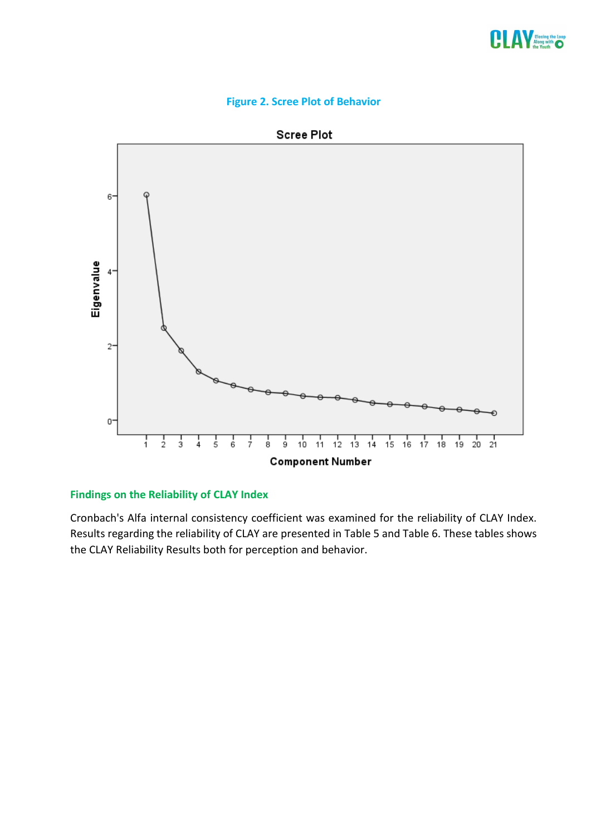





## **Findings on the Reliability of CLAY Index**

Cronbach's Alfa internal consistency coefficient was examined for the reliability of CLAY Index. Results regarding the reliability of CLAY are presented in Table 5 and Table 6. These tables shows the CLAY Reliability Results both for perception and behavior.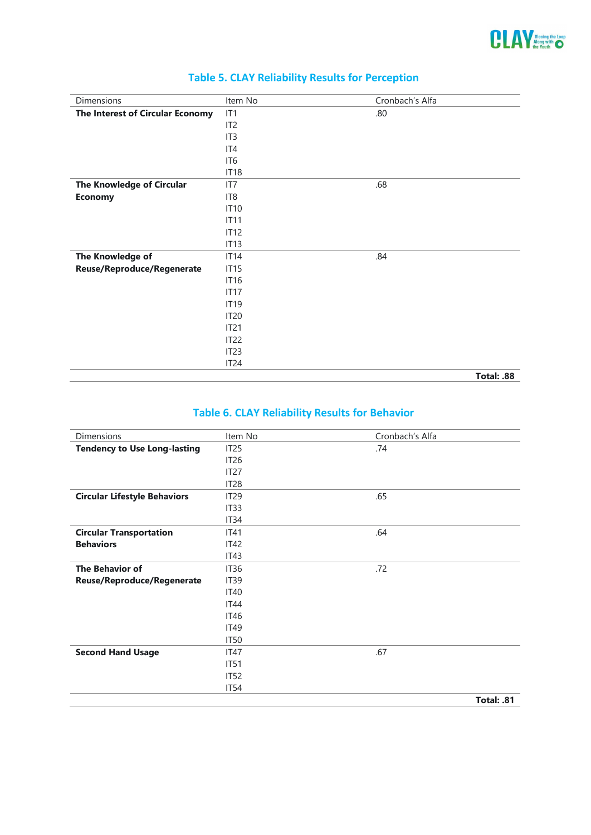

| Dimensions                       | Item No          | Cronbach's Alfa |
|----------------------------------|------------------|-----------------|
| The Interest of Circular Economy | IT1              | .80             |
|                                  | IT <sub>2</sub>  |                 |
|                                  | IT <sub>3</sub>  |                 |
|                                  | IT4              |                 |
|                                  | IT6              |                 |
|                                  | <b>IT18</b>      |                 |
| The Knowledge of Circular        | IT7              | .68             |
| <b>Economy</b>                   | IT <sub>8</sub>  |                 |
|                                  | <b>IT10</b>      |                 |
|                                  | IT11             |                 |
|                                  | IT12             |                 |
|                                  | IT13             |                 |
| The Knowledge of                 | <b>IT14</b>      | .84             |
| Reuse/Reproduce/Regenerate       | IT15             |                 |
|                                  | <b>IT16</b>      |                 |
|                                  | IT17             |                 |
|                                  | <b>IT19</b>      |                 |
|                                  | <b>IT20</b>      |                 |
|                                  | IT21             |                 |
|                                  | IT22             |                 |
|                                  | IT <sub>23</sub> |                 |
|                                  | IT <sub>24</sub> |                 |
|                                  |                  | Total: .88      |

# **Table 5. CLAY Reliability Results for Perception**

# **Table 6. CLAY Reliability Results for Behavior**

| IT <sub>25</sub>  | .74        |
|-------------------|------------|
| IT <sub>26</sub>  |            |
| IT <sub>27</sub>  |            |
| IT <sub>28</sub>  |            |
| IT <sub>29</sub>  | .65        |
| IT <sub>3</sub> 3 |            |
| IT <sub>34</sub>  |            |
| IT41              | .64        |
| IT42              |            |
| IT43              |            |
| IT36              | .72        |
| IT <sub>39</sub>  |            |
| <b>IT40</b>       |            |
| IT44              |            |
| <b>IT46</b>       |            |
| IT49              |            |
| IT50              |            |
| IT47              | .67        |
| IT51              |            |
| IT52              |            |
| IT54              |            |
|                   | Total: .81 |
|                   |            |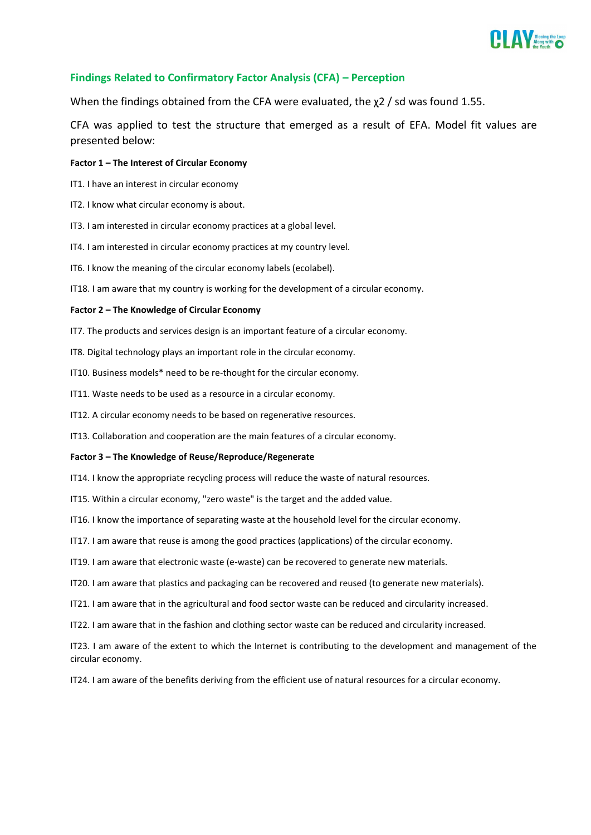

#### **Findings Related to Confirmatory Factor Analysis (CFA) – Perception**

When the findings obtained from the CFA were evaluated, the χ2 / sd was found 1.55.

CFA was applied to test the structure that emerged as a result of EFA. Model fit values are presented below:

#### **Factor 1 – The Interest of Circular Economy**

- IT1. I have an interest in circular economy
- IT2. I know what circular economy is about.
- IT3. I am interested in circular economy practices at a global level.
- IT4. I am interested in circular economy practices at my country level.
- IT6. I know the meaning of the circular economy labels (ecolabel).
- IT18. I am aware that my country is working for the development of a circular economy.

#### **Factor 2 – The Knowledge of Circular Economy**

- IT7. The products and services design is an important feature of a circular economy.
- IT8. Digital technology plays an important role in the circular economy.
- IT10. Business models\* need to be re-thought for the circular economy.
- IT11. Waste needs to be used as a resource in a circular economy.
- IT12. A circular economy needs to be based on regenerative resources.
- IT13. Collaboration and cooperation are the main features of a circular economy.

#### **Factor 3 – The Knowledge of Reuse/Reproduce/Regenerate**

- IT14. I know the appropriate recycling process will reduce the waste of natural resources.
- IT15. Within a circular economy, "zero waste" is the target and the added value.
- IT16. I know the importance of separating waste at the household level for the circular economy.
- IT17. I am aware that reuse is among the good practices (applications) of the circular economy.
- IT19. I am aware that electronic waste (e-waste) can be recovered to generate new materials.
- IT20. I am aware that plastics and packaging can be recovered and reused (to generate new materials).
- IT21. I am aware that in the agricultural and food sector waste can be reduced and circularity increased.
- IT22. I am aware that in the fashion and clothing sector waste can be reduced and circularity increased.

IT23. I am aware of the extent to which the Internet is contributing to the development and management of the circular economy.

IT24. I am aware of the benefits deriving from the efficient use of natural resources for a circular economy.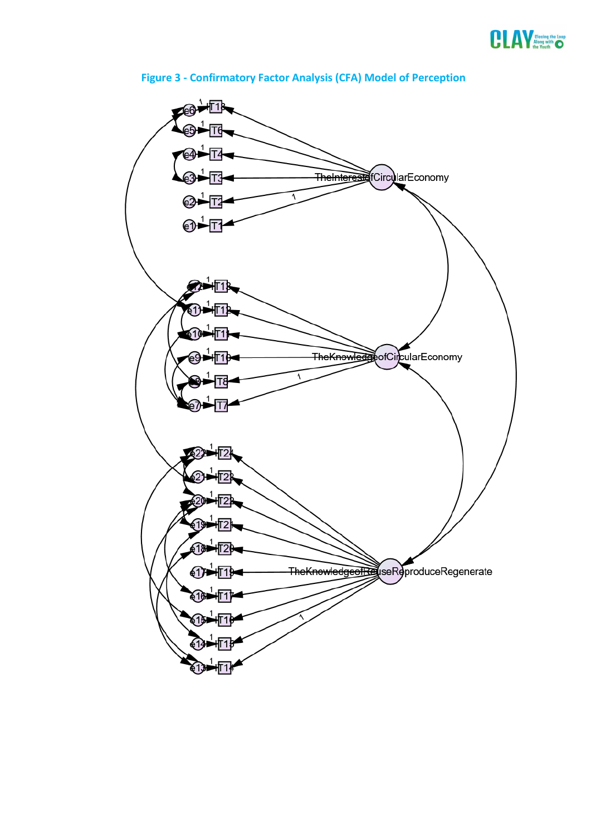



# **Figure 3 - Confirmatory Factor Analysis (CFA) Model of Perception**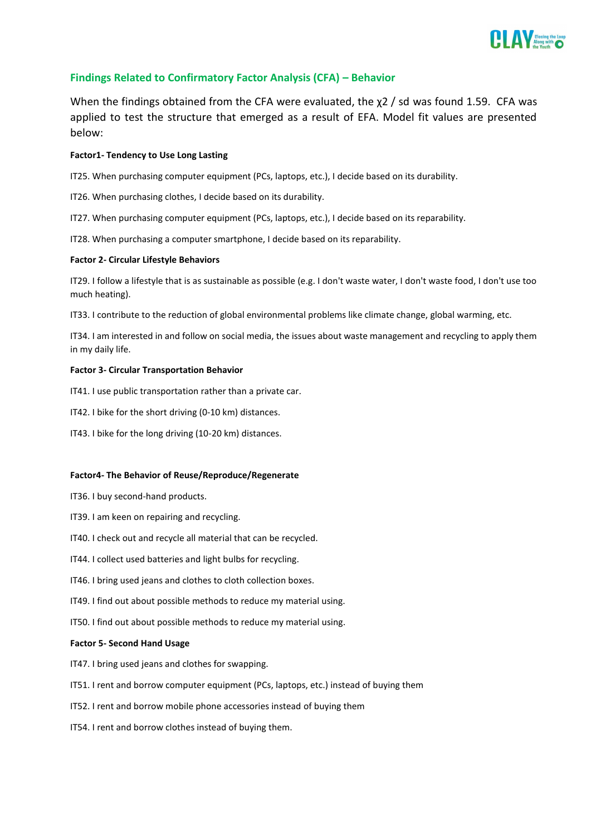

#### **Findings Related to Confirmatory Factor Analysis (CFA) – Behavior**

When the findings obtained from the CFA were evaluated, the  $\chi$ 2 / sd was found 1.59. CFA was applied to test the structure that emerged as a result of EFA. Model fit values are presented below:

#### **Factor1- Tendency to Use Long Lasting**

IT25. When purchasing computer equipment (PCs, laptops, etc.), I decide based on its durability.

IT26. When purchasing clothes, I decide based on its durability.

IT27. When purchasing computer equipment (PCs, laptops, etc.), I decide based on its reparability.

IT28. When purchasing a computer smartphone, I decide based on its reparability.

#### **Factor 2- Circular Lifestyle Behaviors**

IT29. I follow a lifestyle that is as sustainable as possible (e.g. I don't waste water, I don't waste food, I don't use too much heating).

IT33. I contribute to the reduction of global environmental problems like climate change, global warming, etc.

IT34. I am interested in and follow on social media, the issues about waste management and recycling to apply them in my daily life.

#### **Factor 3- Circular Transportation Behavior**

IT41. I use public transportation rather than a private car.

IT42. I bike for the short driving (0-10 km) distances.

IT43. I bike for the long driving (10-20 km) distances.

#### **Factor4- The Behavior of Reuse/Reproduce/Regenerate**

- IT36. I buy second-hand products.
- IT39. I am keen on repairing and recycling.
- IT40. I check out and recycle all material that can be recycled.
- IT44. I collect used batteries and light bulbs for recycling.
- IT46. I bring used jeans and clothes to cloth collection boxes.
- IT49. I find out about possible methods to reduce my material using.
- IT50. I find out about possible methods to reduce my material using.

#### **Factor 5- Second Hand Usage**

- IT47. I bring used jeans and clothes for swapping.
- IT51. I rent and borrow computer equipment (PCs, laptops, etc.) instead of buying them
- IT52. I rent and borrow mobile phone accessories instead of buying them
- IT54. I rent and borrow clothes instead of buying them.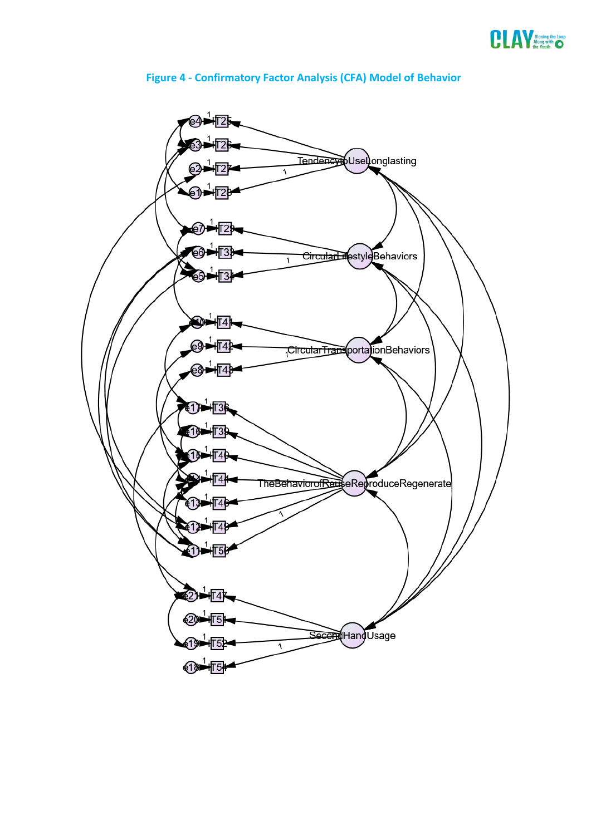



# **Figure 4 - Confirmatory Factor Analysis (CFA) Model of Behavior**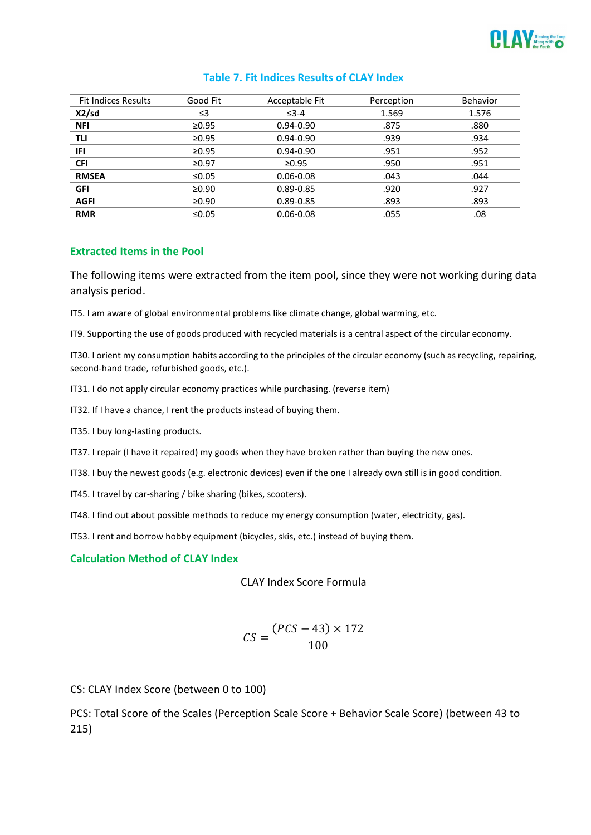

| <b>Fit Indices Results</b> | Good Fit    | Acceptable Fit | Perception | <b>Behavior</b> |
|----------------------------|-------------|----------------|------------|-----------------|
| X2/sd                      | ≤3          | $\leq$ 3-4     | 1.569      | 1.576           |
| <b>NFI</b>                 | $\geq 0.95$ | $0.94 - 0.90$  | .875       | .880            |
| TLI                        | $\geq 0.95$ | $0.94 - 0.90$  | .939       | .934            |
| IFI                        | $\geq 0.95$ | $0.94 - 0.90$  | .951       | .952            |
| <b>CFI</b>                 | $\geq 0.97$ | $\geq 0.95$    | .950       | .951            |
| <b>RMSEA</b>               | ≤0.05       | $0.06 - 0.08$  | .043       | .044            |
| <b>GFI</b>                 | $\geq 0.90$ | 0.89-0.85      | .920       | .927            |
| <b>AGFI</b>                | $\geq 0.90$ | 0.89-0.85      | .893       | .893            |
| <b>RMR</b>                 | ≤ $0.05$    | $0.06 - 0.08$  | .055       | .08             |

#### **Table 7. Fit Indices Results of CLAY Index**

#### **Extracted Items in the Pool**

The following items were extracted from the item pool, since they were not working during data analysis period.

IT5. I am aware of global environmental problems like climate change, global warming, etc.

IT9. Supporting the use of goods produced with recycled materials is a central aspect of the circular economy.

IT30. I orient my consumption habits according to the principles of the circular economy (such as recycling, repairing, second-hand trade, refurbished goods, etc.).

IT31. I do not apply circular economy practices while purchasing. (reverse item)

IT32. If I have a chance, I rent the products instead of buying them.

IT35. I buy long-lasting products.

IT37. I repair (I have it repaired) my goods when they have broken rather than buying the new ones.

IT38. I buy the newest goods (e.g. electronic devices) even if the one I already own still is in good condition.

IT45. I travel by car-sharing / bike sharing (bikes, scooters).

IT48. I find out about possible methods to reduce my energy consumption (water, electricity, gas).

IT53. I rent and borrow hobby equipment (bicycles, skis, etc.) instead of buying them.

#### **Calculation Method of CLAY Index**

CLAY Index Score Formula

$$
CS = \frac{(PCS - 43) \times 172}{100}
$$

CS: CLAY Index Score (between 0 to 100)

PCS: Total Score of the Scales (Perception Scale Score + Behavior Scale Score) (between 43 to 215)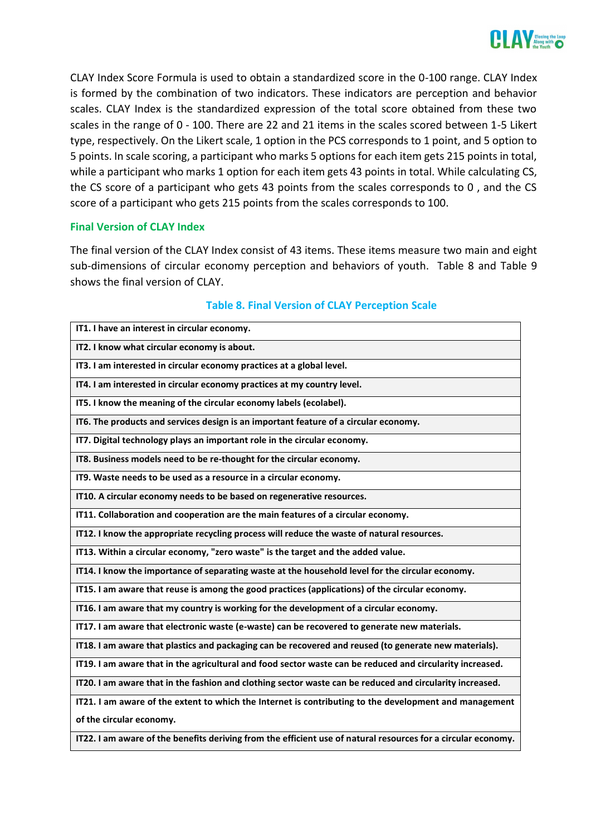

CLAY Index Score Formula is used to obtain a standardized score in the 0-100 range. CLAY Index is formed by the combination of two indicators. These indicators are perception and behavior scales. CLAY Index is the standardized expression of the total score obtained from these two scales in the range of 0 - 100. There are 22 and 21 items in the scales scored between 1-5 Likert type, respectively. On the Likert scale, 1 option in the PCS corresponds to 1 point, and 5 option to 5 points. In scale scoring, a participant who marks 5 options for each item gets 215 points in total, while a participant who marks 1 option for each item gets 43 points in total. While calculating CS, the CS score of a participant who gets 43 points from the scales corresponds to 0 , and the CS score of a participant who gets 215 points from the scales corresponds to 100.

#### **Final Version of CLAY Index**

The final version of the CLAY Index consist of 43 items. These items measure two main and eight sub-dimensions of circular economy perception and behaviors of youth. Table 8 and Table 9 shows the final version of CLAY.

| IT1. I have an interest in circular economy.                                                                  |
|---------------------------------------------------------------------------------------------------------------|
| IT2. I know what circular economy is about.                                                                   |
| IT3. I am interested in circular economy practices at a global level.                                         |
| IT4. I am interested in circular economy practices at my country level.                                       |
| IT5. I know the meaning of the circular economy labels (ecolabel).                                            |
| IT6. The products and services design is an important feature of a circular economy.                          |
| IT7. Digital technology plays an important role in the circular economy.                                      |
| IT8. Business models need to be re-thought for the circular economy.                                          |
| IT9. Waste needs to be used as a resource in a circular economy.                                              |
| IT10. A circular economy needs to be based on regenerative resources.                                         |
| IT11. Collaboration and cooperation are the main features of a circular economy.                              |
| IT12. I know the appropriate recycling process will reduce the waste of natural resources.                    |
| IT13. Within a circular economy, "zero waste" is the target and the added value.                              |
| IT14. I know the importance of separating waste at the household level for the circular economy.              |
| IT15. I am aware that reuse is among the good practices (applications) of the circular economy.               |
| IT16. I am aware that my country is working for the development of a circular economy.                        |
| IT17. I am aware that electronic waste (e-waste) can be recovered to generate new materials.                  |
| IT18. I am aware that plastics and packaging can be recovered and reused (to generate new materials).         |
| IT19. I am aware that in the agricultural and food sector waste can be reduced and circularity increased.     |
| IT20. I am aware that in the fashion and clothing sector waste can be reduced and circularity increased.      |
| IT21. I am aware of the extent to which the Internet is contributing to the development and management        |
| of the circular economy.                                                                                      |
| IT22. I am aware of the benefits deriving from the efficient use of natural resources for a circular economy. |

#### **Table 8. Final Version of CLAY Perception Scale**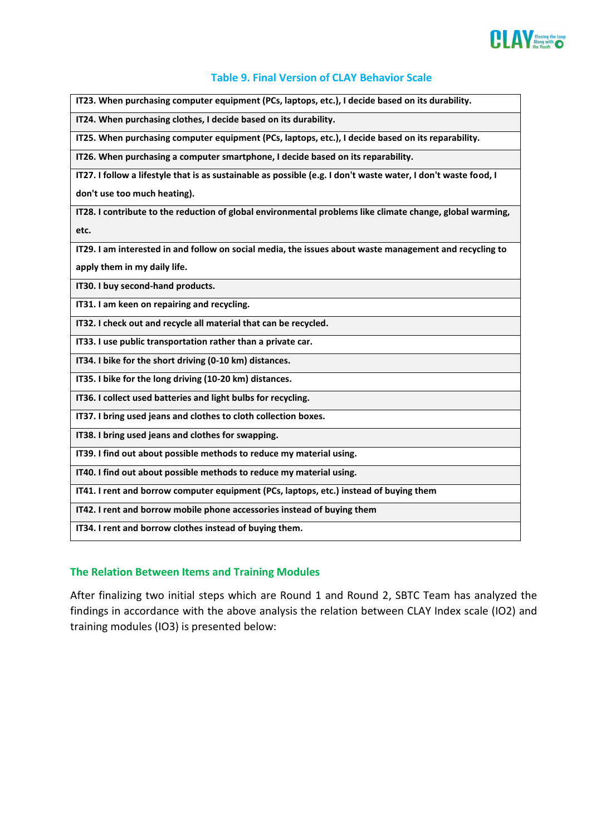

#### **Table 9. Final Version of CLAY Behavior Scale**

**IT23. When purchasing computer equipment (PCs, laptops, etc.), I decide based on its durability.**

**IT24. When purchasing clothes, I decide based on its durability.**

**IT25. When purchasing computer equipment (PCs, laptops, etc.), I decide based on its reparability.**

**IT26. When purchasing a computer smartphone, I decide based on its reparability.**

**IT27. I follow a lifestyle that is as sustainable as possible (e.g. I don't waste water, I don't waste food, I** 

**don't use too much heating).**

**IT28. I contribute to the reduction of global environmental problems like climate change, global warming, etc.**

**IT29. I am interested in and follow on social media, the issues about waste management and recycling to** 

**apply them in my daily life.**

**IT30. I buy second-hand products.**

**IT31. I am keen on repairing and recycling.**

**IT32. I check out and recycle all material that can be recycled.**

**IT33. I use public transportation rather than a private car.**

**IT34. I bike for the short driving (0-10 km) distances.**

**IT35. I bike for the long driving (10-20 km) distances.**

**IT36. I collect used batteries and light bulbs for recycling.**

**IT37. I bring used jeans and clothes to cloth collection boxes.**

**IT38. I bring used jeans and clothes for swapping.**

**IT39. I find out about possible methods to reduce my material using.**

**IT40. I find out about possible methods to reduce my material using.**

**IT41. I rent and borrow computer equipment (PCs, laptops, etc.) instead of buying them**

**IT42. I rent and borrow mobile phone accessories instead of buying them**

**IT34. I rent and borrow clothes instead of buying them.**

#### **The Relation Between Items and Training Modules**

After finalizing two initial steps which are Round 1 and Round 2, SBTC Team has analyzed the findings in accordance with the above analysis the relation between CLAY Index scale (IO2) and training modules (IO3) is presented below: